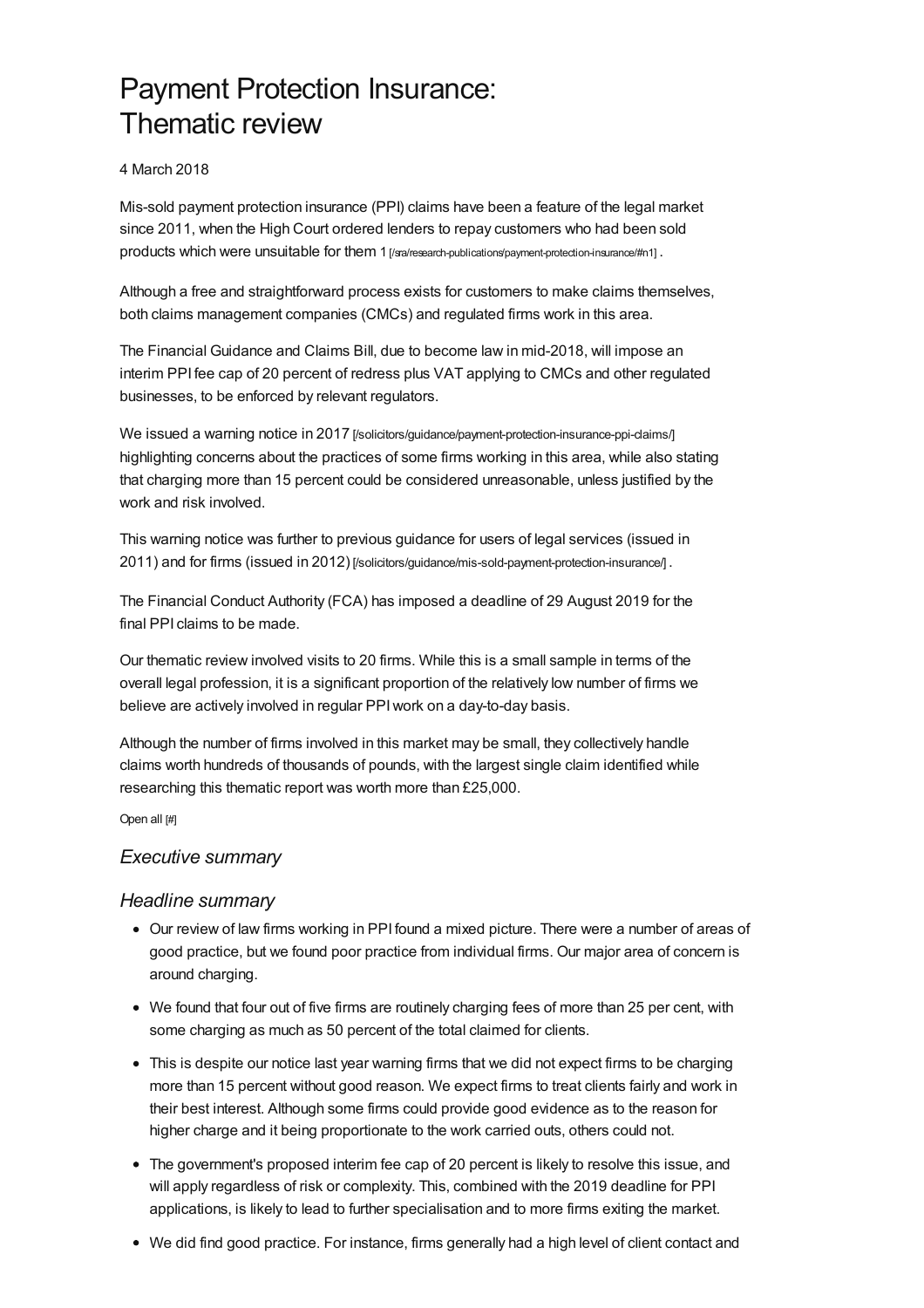# Payment Protection Insurance: Thematic review

### 4 March 2018

Mis-sold payment protection insurance (PPI) claims have been a feature of the legal market since 2011, when the High Court ordered lenders to repay customers who had been sold products which were unsuitable for them 1 [\[/sra/research-publications/payment-protection-insurance/#n1\]](https://www.sra.org.uk/sra/research-publications/payment-protection-insurance/#n1).

Although a free and straightforward process exists for customers to make claims themselves, both claims management companies (CMCs) and regulated firms work in this area.

The Financial Guidance and Claims Bill, due to become law in mid-2018, will impose an interim PPI fee cap of 20 percent of redress plus VAT applying to CMCs and other regulated businesses, to be enforced by relevant regulators.

We issued a warning notice in 2017 [\[/solicitors/guidance/payment-protection-insurance-ppi-claims/\]](https://www.sra.org.uk/solicitors/guidance/payment-protection-insurance-ppi-claims/) highlighting concerns about the practices of some firms working in this area, while also stating that charging more than 15 percent could be considered unreasonable, unless justified by the work and risk involved.

This warning notice was further to previous guidance for users of legal services (issued in 2011) and for firms (issued in 2012) [\[/solicitors/guidance/mis-sold-payment-protection-insurance/\]](https://www.sra.org.uk/solicitors/guidance/mis-sold-payment-protection-insurance/) .

The Financial Conduct Authority (FCA) has imposed a deadline of 29 August 2019 for the final PPI claims to be made.

Our thematic review involved visits to 20 firms. While this is a small sample in terms of the overall legal profession, it is a significant proportion of the relatively low number of firms we believe are actively involved in regular PPIwork on a day-to-day basis.

Although the number of firms involved in this market may be small, they collectively handle claims worth hundreds of thousands of pounds, with the largest single claim identified while researching this thematic report was worth more than £25,000.

Open all [#]

### *[Executive](#page-1-0) summary*

### *Headline summary*

- Our review of law firms working in PPI found a mixed picture. There were a number of areas of good practice, but we found poor practice from individual firms. Our major area of concern is around charging.
- We found that four out of five firms are routinely charging fees of more than 25 per cent, with some charging as much as 50 percent of the total claimed for clients.
- This is despite our notice last year warning firms that we did not expect firms to be charging more than 15 percent without good reason. We expect firms to treat clients fairly and work in their best interest. Although some firms could provide good evidence as to the reason for higher charge and it being proportionate to the work carried outs, others could not.
- The government's proposed interim fee cap of 20 percent is likely to resolve this issue, and will apply regardless of risk or complexity. This, combined with the 2019 deadline for PPI applications, is likely to lead to further specialisation and to more firms exiting the market.
- We did find good practice. For instance, firms generally had a high level of client contact and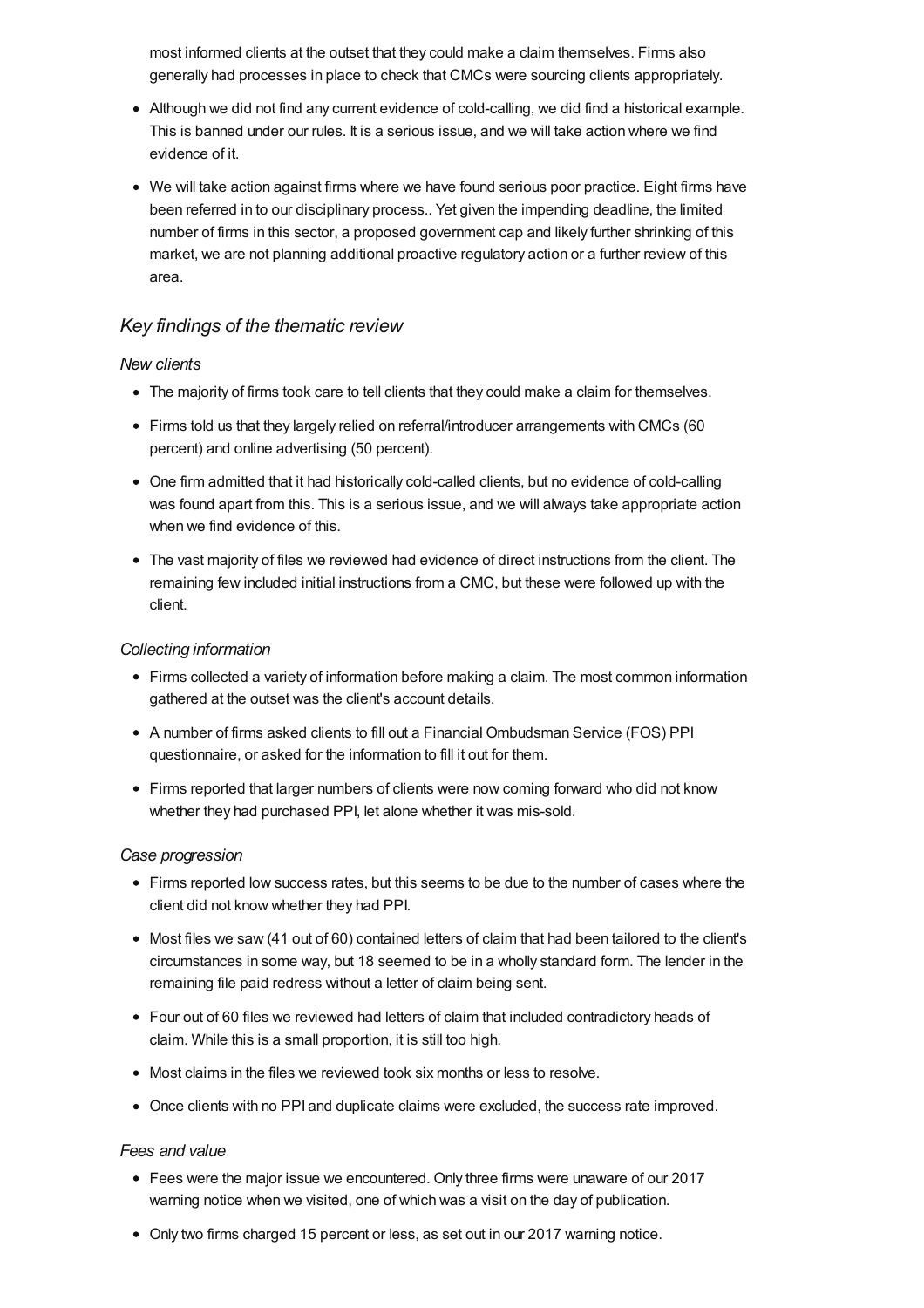<span id="page-1-0"></span>most informed clients at the outset that they could make a claim themselves. Firms also generally had processes in place to check that CMCs were sourcing clients appropriately.

- Although we did not find any current evidence of cold-calling, we did find a historical example. This is banned under our rules. It is a serious issue, and we will take action where we find evidence of it.
- We will take action against firms where we have found serious poor practice. Eight firms have been referred in to our disciplinary process.. Yet given the impending deadline, the limited number of firms in this sector, a proposed government cap and likely further shrinking of this market, we are not planning additional proactive regulatory action or a further review of this area.

### *Key findings of the thematic review*

### *New clients*

- The majority of firms took care to tell clients that they could make a claim for themselves.
- Firms told us that they largely relied on referral/introducer arrangements with CMCs (60 percent) and online advertising (50 percent).
- One firm admitted that it had historically cold-called clients, but no evidence of cold-calling was found apart from this. This is a serious issue, and we will always take appropriate action when we find evidence of this.
- The vast majority of files we reviewed had evidence of direct instructions from the client. The remaining few included initial instructions from a CMC, but these were followed up with the client.

#### *Collecting information*

- Firms collected a variety of information before making a claim. The most common information gathered at the outset was the client's account details.
- A number of firms asked clients to fill out a Financial Ombudsman Service (FOS) PPI questionnaire, or asked for the information to fill it out for them.
- Firms reported that larger numbers of clients were now coming forward who did not know whether they had purchased PPI, let alone whether it was mis-sold.

### *Case progression*

- Firms reported low success rates, but this seems to be due to the number of cases where the client did not know whether they had PPI.
- Most files we saw (41 out of 60) contained letters of claim that had been tailored to the client's circumstances in some way, but 18 seemed to be in a wholly standard form. The lender in the remaining file paid redress without a letter of claim being sent.
- Four out of 60 files we reviewed had letters of claim that included contradictory heads of claim. While this is a small proportion, it is still too high.
- Most claims in the files we reviewed took six months or less to resolve.
- Once clients with no PPI and duplicate claims were excluded, the success rate improved.

#### *Fees and value*

- Fees were the major issue we encountered. Only three firms were unaware of our 2017 warning notice when we visited, one of which was a visit on the day of publication.
- Only two firms charged 15 percent or less, as set out in our 2017 warning notice.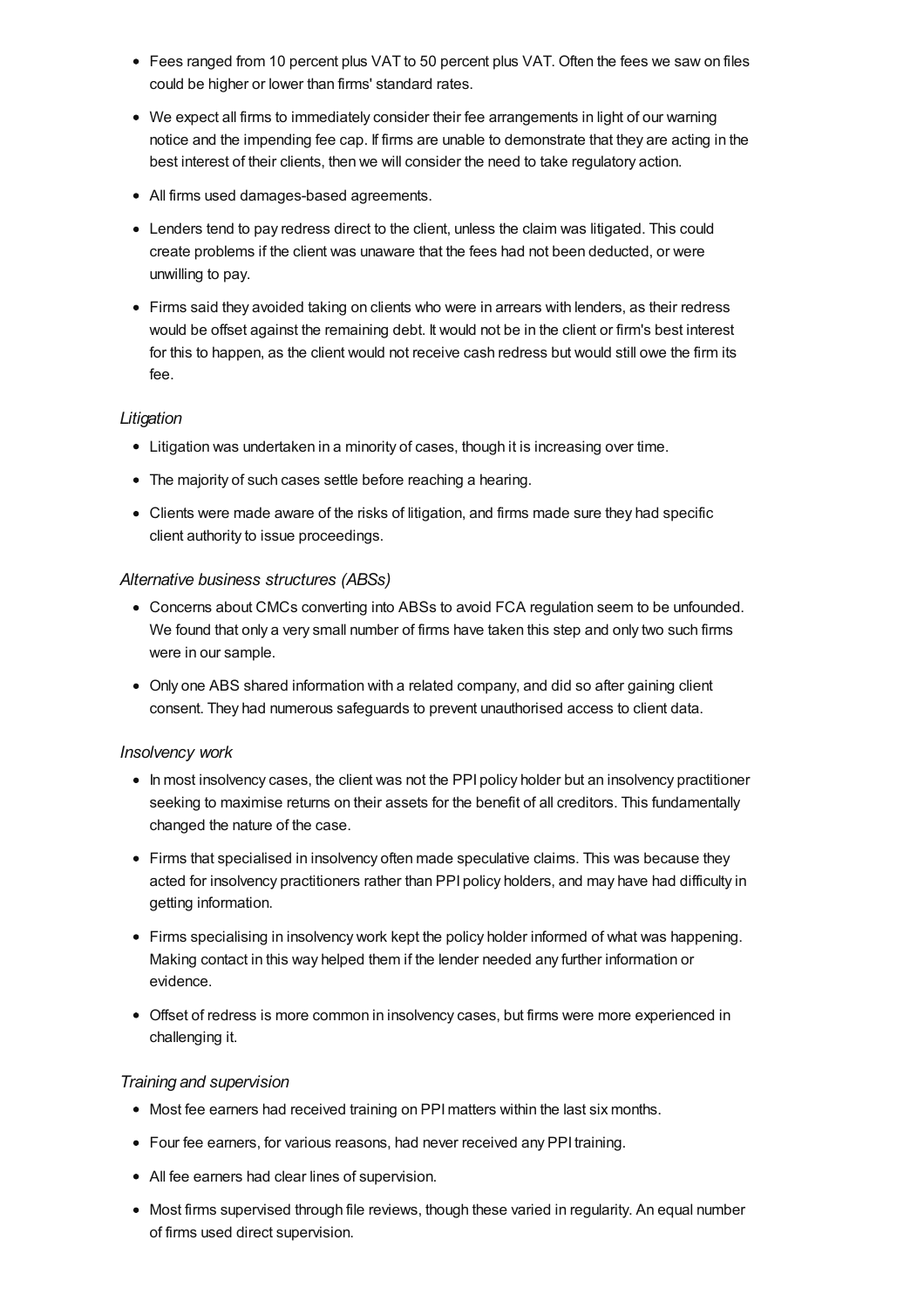- Fees ranged from 10 percent plus VAT to 50 percent plus VAT. Often the fees we saw on files could be higher or lower than firms' standard rates.
- We expect all firms to immediately consider their fee arrangements in light of our warning notice and the impending fee cap. If firms are unable to demonstrate that they are acting in the best interest of their clients, then we will consider the need to take regulatory action.
- All firms used damages-based agreements.
- Lenders tend to pay redress direct to the client, unless the claim was litigated. This could create problems if the client was unaware that the fees had not been deducted, or were unwilling to pay.
- Firms said they avoided taking on clients who were in arrears with lenders, as their redress would be offset against the remaining debt. It would not be in the client or firm's best interest for this to happen, as the client would not receive cash redress but would still owe the firm its fee.

### *Litigation*

- Litigation was undertaken in a minority of cases, though it is increasing over time.
- The majority of such cases settle before reaching a hearing.
- Clients were made aware of the risks of litigation, and firms made sure they had specific client authority to issue proceedings.

### *Alternative business structures (ABSs)*

- Concerns about CMCs converting into ABSs to avoid FCA regulation seem to be unfounded. We found that only a very small number of firms have taken this step and only two such firms were in our sample.
- Only one ABS shared information with a related company, and did so after gaining client consent. They had numerous safeguards to prevent unauthorised access to client data.

### *Insolvency work*

- In most insolvency cases, the client was not the PPI policy holder but an insolvency practitioner seeking to maximise returns on their assets for the benefit of all creditors. This fundamentally changed the nature of the case.
- Firms that specialised in insolvency often made speculative claims. This was because they acted for insolvency practitioners rather than PPI policy holders, and may have had difficulty in getting information.
- Firms specialising in insolvency work kept the policy holder informed of what was happening. Making contact in this way helped them if the lender needed any further information or evidence.
- Offset of redress is more common in insolvency cases, but firms were more experienced in challenging it.

### *Training and supervision*

- Most fee earners had received training on PPI matters within the last six months.
- Four fee earners, for various reasons, had never received any PPI training.
- All fee earners had clear lines of supervision.
- Most firms supervised through file reviews, though these varied in regularity. An equal number of firms used direct supervision.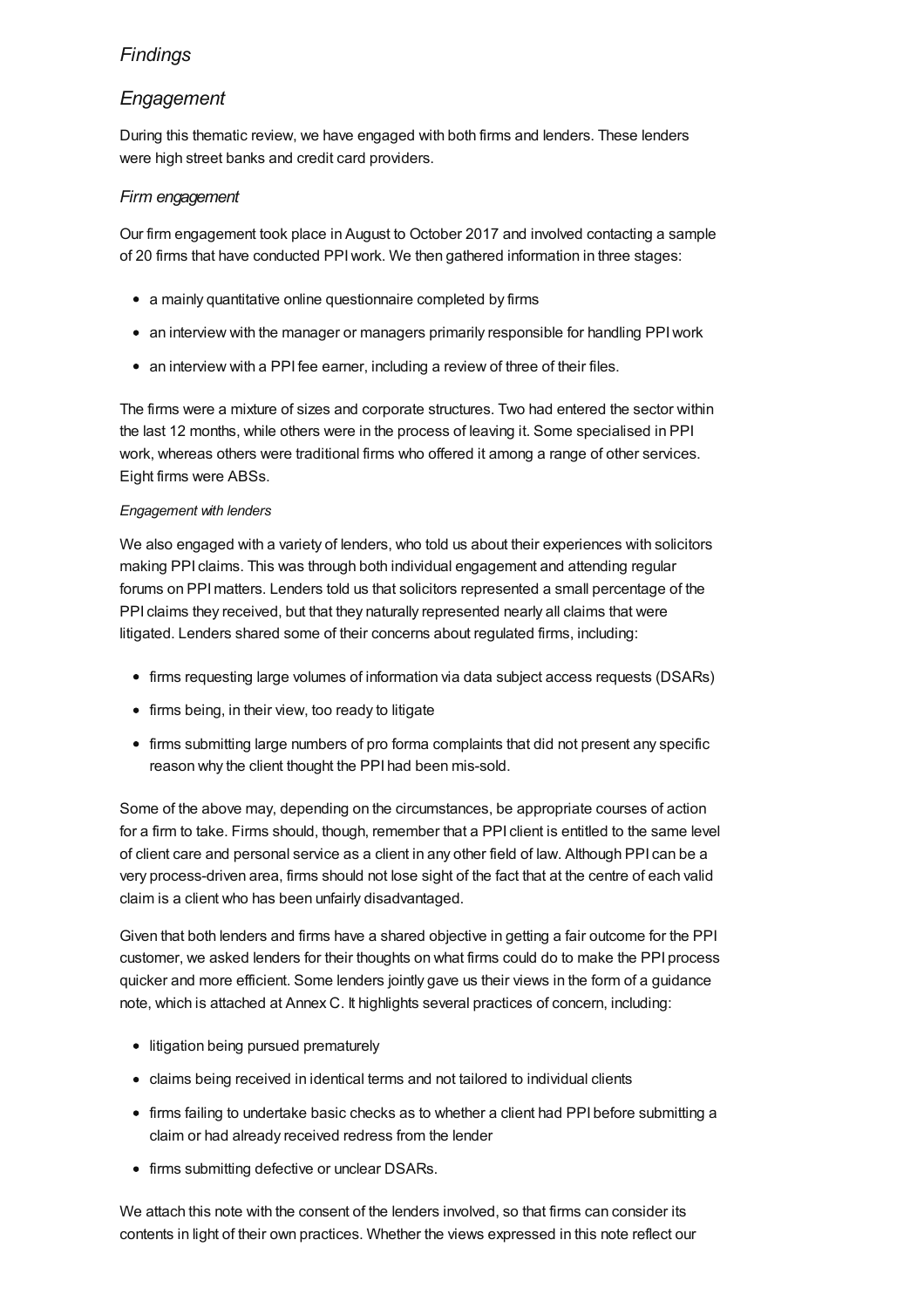# *[Findings](#page-14-0)*

# *Engagement*

During this thematic review, we have engaged with both firms and lenders. These lenders were high street banks and credit card providers.

### *Firm engagement*

Our firm engagement took place in August to October 2017 and involved contacting a sample of 20 firms that have conducted PPIwork. We then gathered information in three stages:

- a mainly quantitative online questionnaire completed by firms
- an interview with the manager or managers primarily responsible for handling PPI work
- an interview with a PPI fee earner, including a review of three of their files.

The firms were a mixture of sizes and corporate structures. Two had entered the sector within the last 12 months, while others were in the process of leaving it. Some specialised in PPI work, whereas others were traditional firms who offered it among a range of other services. Eight firms were ABSs.

### *Engagement with lenders*

We also engaged with a variety of lenders, who told us about their experiences with solicitors making PPI claims. This was through both individual engagement and attending regular forums on PPImatters. Lenders told us that solicitors represented a small percentage of the PPI claims they received, but that they naturally represented nearly all claims that were litigated. Lenders shared some of their concerns about regulated firms, including:

- firms requesting large volumes of information via data subject access requests (DSARs)
- firms being, in their view, too ready to litigate
- firms submitting large numbers of pro forma complaints that did not present any specific reason why the client thought the PPI had been mis-sold.

Some of the above may, depending on the circumstances, be appropriate courses of action for a firm to take. Firms should, though, remember that a PPI client is entitled to the same level of client care and personal service as a client in any other field of law. Although PPI can be a very process-driven area, firms should not lose sight of the fact that at the centre of each valid claim is a client who has been unfairly disadvantaged.

Given that both lenders and firms have a shared objective in getting a fair outcome for the PPI customer, we asked lenders for their thoughts on what firms could do to make the PPI process quicker and more efficient. Some lenders jointly gave us their views in the form of a guidance note, which is attached at Annex C. It highlights several practices of concern, including:

- litigation being pursued prematurely
- claims being received in identical terms and not tailored to individual clients
- firms failing to undertake basic checks as to whether a client had PPI before submitting a claim or had already received redress from the lender
- firms submitting defective or unclear DSARs.

We attach this note with the consent of the lenders involved, so that firms can consider its contents in light of their own practices. Whether the views expressed in this note reflect our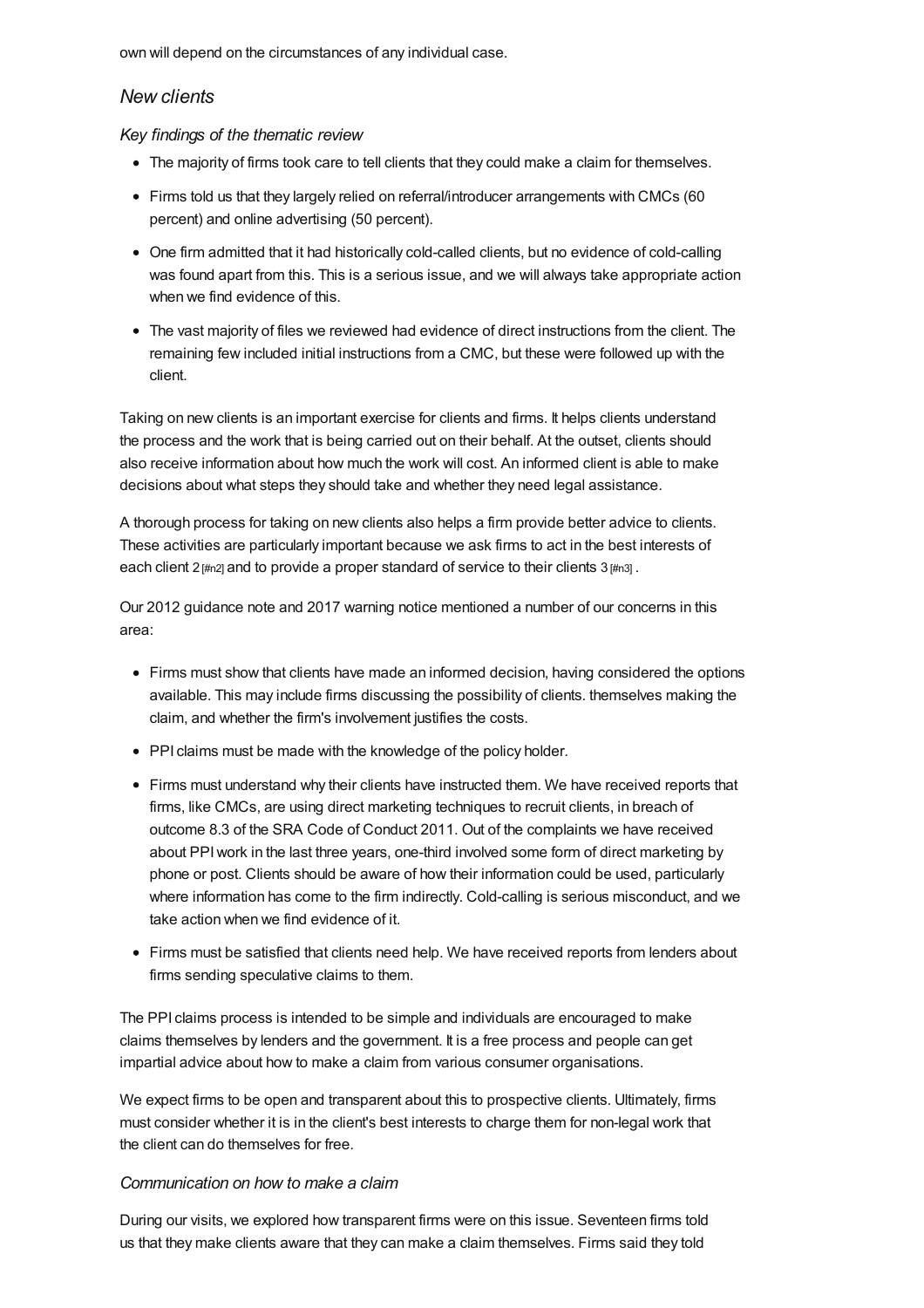own will depend on the circumstances of any individual case.

### *New clients*

*Key findings of the thematic review*

- The majority of firms took care to tell clients that they could make a claim for themselves.
- Firms told us that they largely relied on referral/introducer arrangements with CMCs (60 percent) and online advertising (50 percent).
- One firm admitted that it had historically cold-called clients, but no evidence of cold-calling was found apart from this. This is a serious issue, and we will always take appropriate action when we find evidence of this.
- The vast majority of files we reviewed had evidence of direct instructions from the client. The remaining few included initial instructions from a CMC, but these were followed up with the client.

Taking on new clients is an important exercise for clients and firms. It helps clients understand the process and the work that is being carried out on their behalf. At the outset, clients should also receive information about how much the work will cost. An informed client is able to make decisions about what steps they should take and whether they need legal assistance.

A thorough process for taking on new clients also helps a firm provide better advice to clients. These activities are particularly important because we ask firms to act in the best interests of each client 2 [\[#n2\]](#page-33-0) and to provide a proper standard of service to their clients  $3$  [\[#n3\]](#page-33-1).

Our 2012 guidance note and 2017 warning notice mentioned a number of our concerns in this area:

- Firms must show that clients have made an informed decision, having considered the options available. This may include firms discussing the possibility of clients. themselves making the claim, and whether the firm's involvement justifies the costs.
- PPI claims must be made with the knowledge of the policy holder.
- Firms must understand why their clients have instructed them. We have received reports that firms, like CMCs, are using direct marketing techniques to recruit clients, in breach of outcome 8.3 of the SRA Code of Conduct 2011. Out of the complaints we have received about PPIwork in the last three years, one-third involved some form of direct marketing by phone or post. Clients should be aware of how their information could be used, particularly where information has come to the firm indirectly. Cold-calling is serious misconduct, and we take action when we find evidence of it.
- Firms must be satisfied that clients need help. We have received reports from lenders about firms sending speculative claims to them.

The PPI claims process is intended to be simple and individuals are encouraged to make claims themselves by lenders and the government. It is a free process and people can get impartial advice about how to make a claim from various consumer organisations.

We expect firms to be open and transparent about this to prospective clients. Ultimately, firms must consider whether it is in the client's best interests to charge them for non-legal work that the client can do themselves for free.

### *Communication on how to make a claim*

During our visits, we explored how transparent firms were on this issue. Seventeen firms told us that they make clients aware that they can make a claim themselves. Firms said they told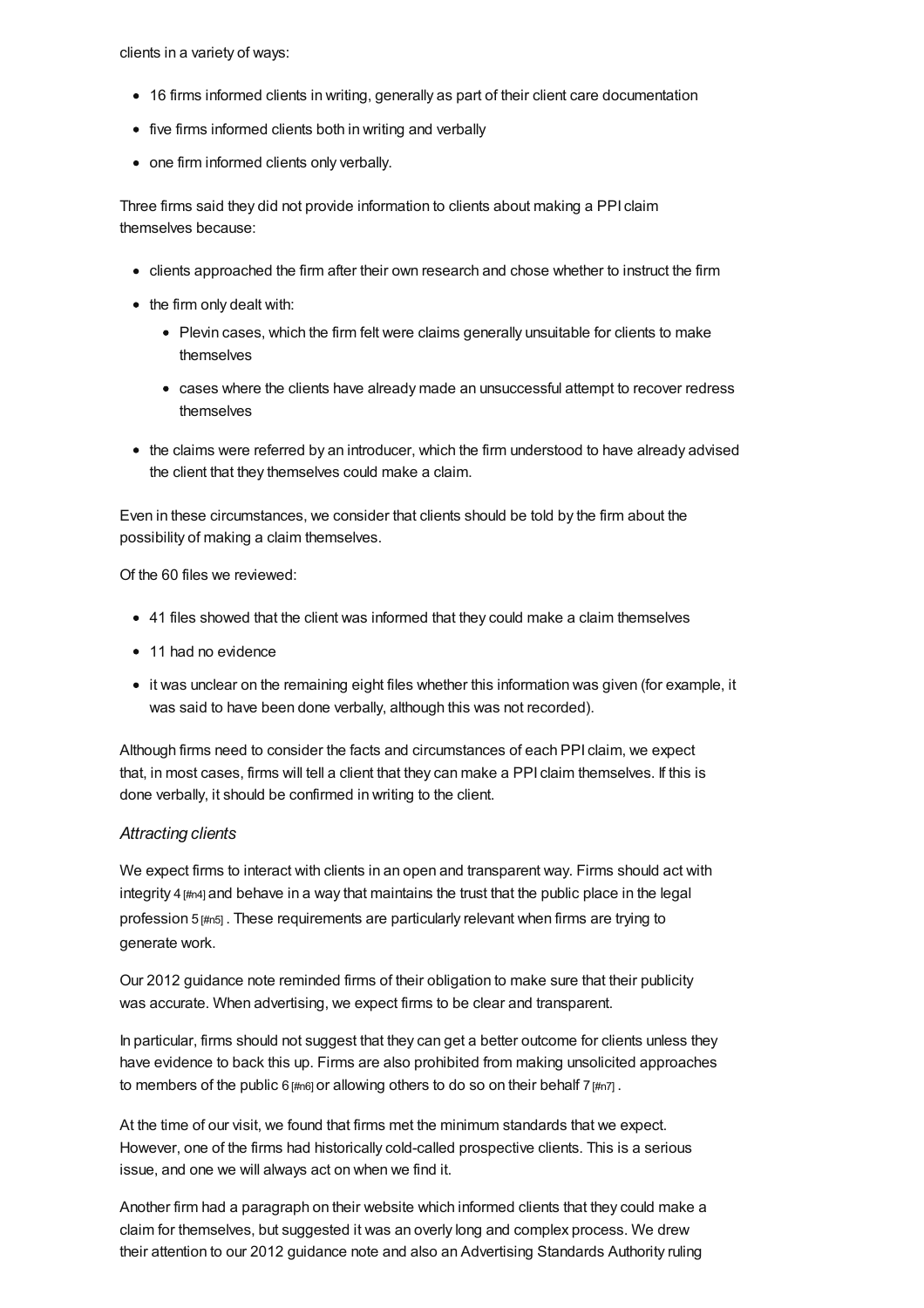clients in a variety of ways:

- 16 firms informed clients in writing, generally as part of their client care documentation
- five firms informed clients both in writing and verbally
- one firm informed clients only verbally.

Three firms said they did not provide information to clients about making a PPI claim themselves because:

- clients approached the firm after their own research and chose whether to instruct the firm
- the firm only dealt with:
	- Plevin cases, which the firm felt were claims generally unsuitable for clients to make themselves
	- cases where the clients have already made an unsuccessful attempt to recover redress themselves
- the claims were referred by an introducer, which the firm understood to have already advised the client that they themselves could make a claim.

Even in these circumstances, we consider that clients should be told by the firm about the possibility of making a claim themselves.

Of the 60 files we reviewed:

- 41 files showed that the client was informed that they could make a claim themselves
- 11 had no evidence
- it was unclear on the remaining eight files whether this information was given (for example, it was said to have been done verbally, although this was not recorded).

Although firms need to consider the facts and circumstances of each PPI claim, we expect that, in most cases, firms will tell a client that they can make a PPI claim themselves. If this is done verbally, it should be confirmed in writing to the client.

### *Attracting clients*

We expect firms to interact with clients in an open and transparent way. Firms should act with integrity  $4 \frac{4}{1404}$  and behave in a way that maintains the trust that the public place in the legal profession 5 [\[#n5\]](#page-33-3) . These requirements are particularly relevant when firms are trying to generate work.

Our 2012 guidance note reminded firms of their obligation to make sure that their publicity was accurate. When advertising, we expect firms to be clear and transparent.

In particular, firms should not suggest that they can get a better outcome for clients unless they have evidence to back this up. Firms are also prohibited from making unsolicited approaches to members of the public  $6$  [\[#n6\]](#page-33-4) or allowing others to do so on their behalf  $7$  [\[#n7\]](#page-34-0).

At the time of our visit, we found that firms met the minimum standards that we expect. However, one of the firms had historically cold-called prospective clients. This is a serious issue, and one we will always act on when we find it.

Another firm had a paragraph on their website which informed clients that they could make a claim for themselves, but suggested it was an overly long and complex process. We drew their attention to our 2012 guidance note and also an Advertising Standards Authority ruling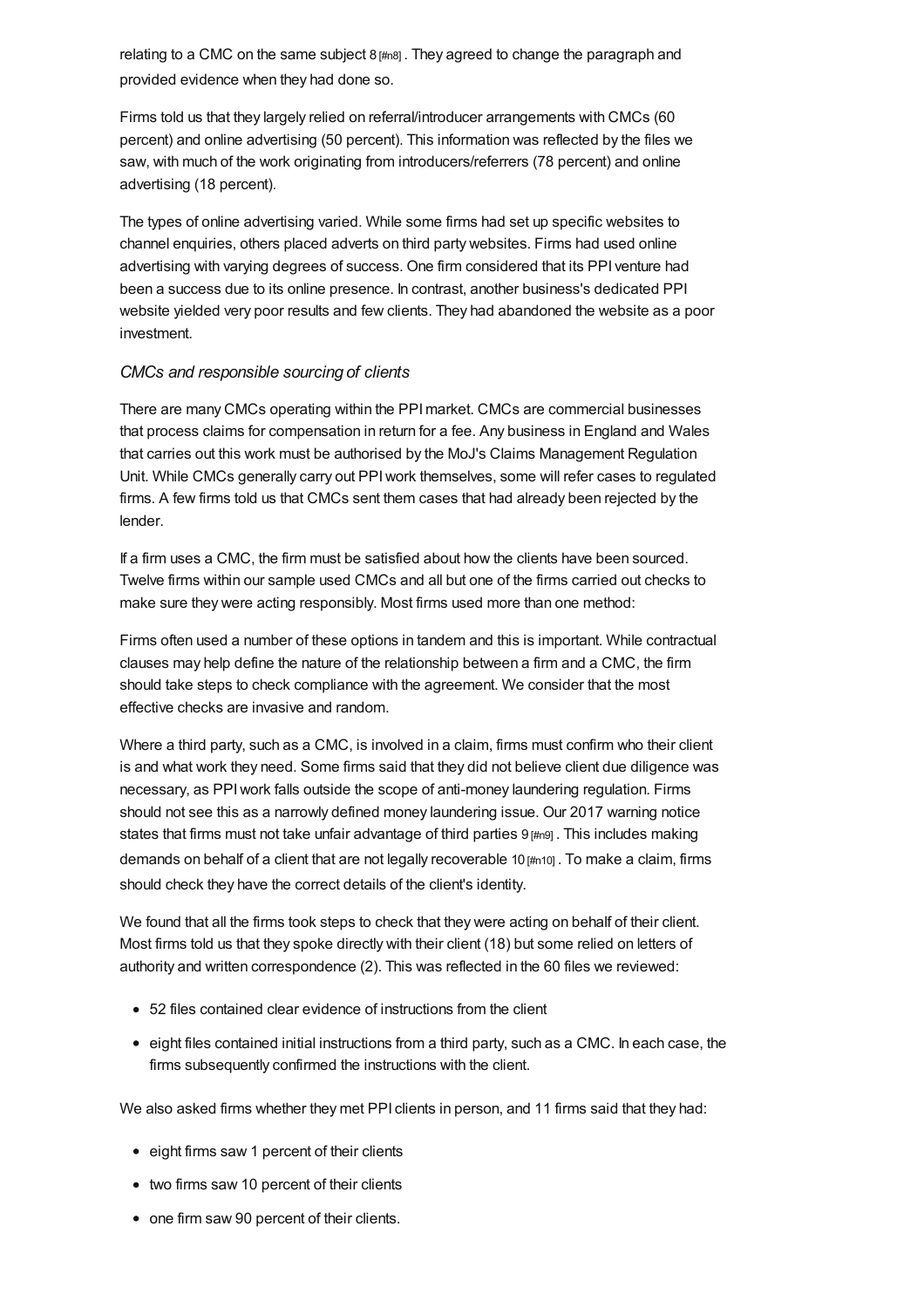relating to a CMC on the same subject  $8 \mu m$ g. They agreed to change the paragraph and provided evidence when they had done so.

Firms told us that they largely relied on referral/introducer arrangements with CMCs (60 percent) and online advertising (50 percent). This information was reflected by the files we saw, with much of the work originating from introducers/referrers (78 percent) and online advertising (18 percent).

The types of online advertising varied. While some firms had set up specific websites to channel enquiries, others placed adverts on third party websites. Firms had used online advertising with varying degrees of success. One firm considered that its PPI venture had been a success due to its online presence. In contrast, another business's dedicated PPI website yielded very poor results and few clients. They had abandoned the website as a poor investment.

### *CMCs and responsible sourcing of clients*

There are many CMCs operating within the PPImarket. CMCs are commercial businesses that process claims for compensation in return for a fee. Any business in England and Wales that carries out this work must be authorised by the MoJ's Claims Management Regulation Unit. While CMCs generally carry out PPIwork themselves, some will refer cases to regulated firms. A few firms told us that CMCs sent them cases that had already been rejected by the lender.

If a firm uses a CMC, the firm must be satisfied about how the clients have been sourced. Twelve firms within our sample used CMCs and all but one of the firms carried out checks to make sure they were acting responsibly. Most firms used more than one method:

Firms often used a number of these options in tandem and this is important. While contractual clauses may help define the nature of the relationship between a firm and a CMC, the firm should take steps to check compliance with the agreement. We consider that the most effective checks are invasive and random.

Where a third party, such as a CMC, is involved in a claim, firms must confirm who their client is and what work they need. Some firms said that they did not believe client due diligence was necessary, as PPIwork falls outside the scope of anti-money laundering regulation. Firms should not see this as a narrowly defined money laundering issue. Our 2017 warning notice states that firms must not take unfair advantage of third parties 9 [\[#n9\]](#page-34-2). This includes making demands on behalf of a client that are not legally recoverable 10 [\[#n10\]](#page-34-3) . To make a claim, firms should check they have the correct details of the client's identity.

We found that all the firms took steps to check that they were acting on behalf of their client. Most firms told us that they spoke directly with their client (18) but some relied on letters of authority and written correspondence (2). This was reflected in the 60 files we reviewed:

- 52 files contained clear evidence of instructions from the client
- eight files contained initial instructions from a third party, such as a CMC. In each case, the firms subsequently confirmed the instructions with the client.

We also asked firms whether they met PPI clients in person, and 11 firms said that they had:

- eight firms saw 1 percent of their clients
- two firms saw 10 percent of their clients
- one firm saw 90 percent of their clients.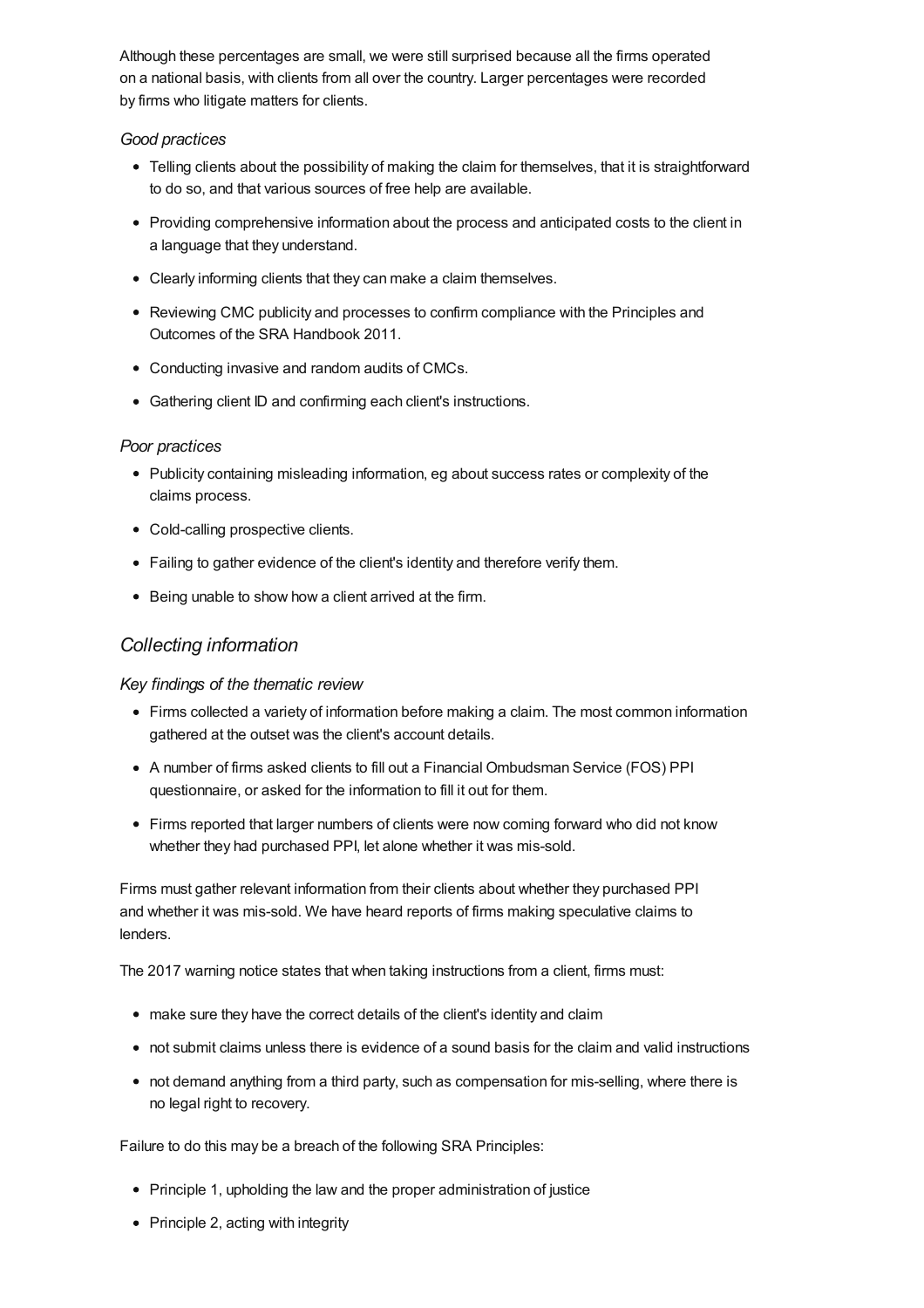Although these percentages are small, we were still surprised because all the firms operated on a national basis, with clients from all over the country. Larger percentages were recorded by firms who litigate matters for clients.

### *Good practices*

- Telling clients about the possibility of making the claim for themselves, that it is straightforward to do so, and that various sources of free help are available.
- Providing comprehensive information about the process and anticipated costs to the client in a language that they understand.
- Clearly informing clients that they can make a claim themselves.
- Reviewing CMC publicity and processes to confirm compliance with the Principles and Outcomes of the SRA Handbook 2011.
- Conducting invasive and random audits of CMCs.
- Gathering client ID and confirming each client's instructions.

#### *Poor practices*

- Publicity containing misleading information, eg about success rates or complexity of the claims process.
- Cold-calling prospective clients.
- Failing to gather evidence of the client's identity and therefore verify them.
- Being unable to show how a client arrived at the firm.

### *Collecting information*

### *Key findings of the thematic review*

- Firms collected a variety of information before making a claim. The most common information gathered at the outset was the client's account details.
- A number of firms asked clients to fill out a Financial Ombudsman Service (FOS) PPI questionnaire, or asked for the information to fill it out for them.
- Firms reported that larger numbers of clients were now coming forward who did not know whether they had purchased PPI, let alone whether it was mis-sold.

Firms must gather relevant information from their clients about whether they purchased PPI and whether it was mis-sold. We have heard reports of firms making speculative claims to lenders.

The 2017 warning notice states that when taking instructions from a client, firms must:

- make sure they have the correct details of the client's identity and claim
- not submit claims unless there is evidence of a sound basis for the claim and valid instructions
- not demand anything from a third party, such as compensation for mis-selling, where there is no legal right to recovery.

Failure to do this may be a breach of the following SRA Principles:

- Principle 1, upholding the law and the proper administration of justice
- Principle 2, acting with integrity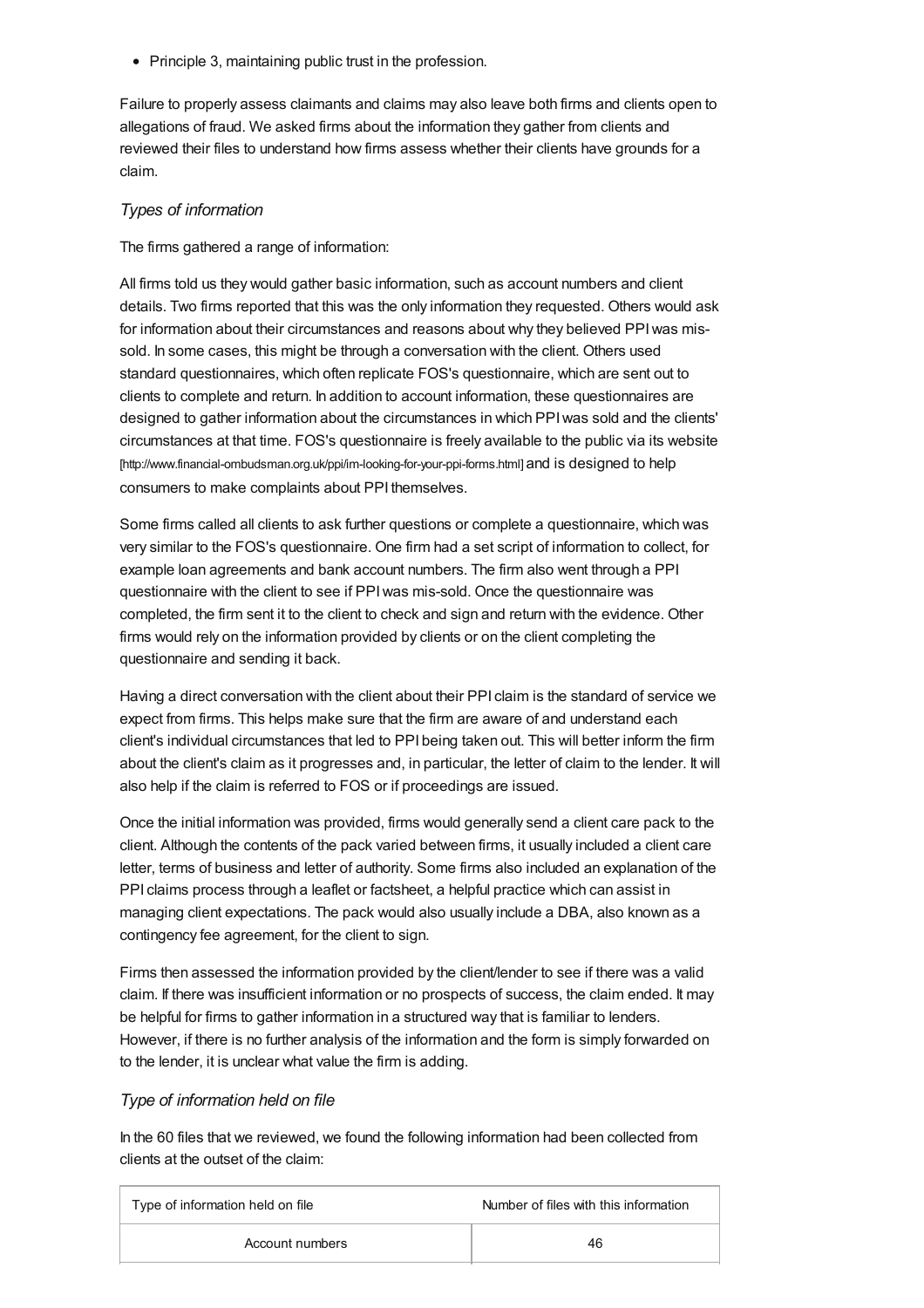• Principle 3, maintaining public trust in the profession.

Failure to properly assess claimants and claims may also leave both firms and clients open to allegations of fraud. We asked firms about the information they gather from clients and reviewed their files to understand how firms assess whether their clients have grounds for a claim.

### *Types of information*

The firms gathered a range of information:

All firms told us they would gather basic information, such as account numbers and client details. Two firms reported that this was the only information they requested. Others would ask for information about their circumstances and reasons about why they believed PPIwas missold. In some cases, this might be through a conversation with the client. Others used standard questionnaires, which often replicate FOS's questionnaire, which are sent out to clients to complete and return. In addition to account information, these questionnaires are designed to gather information about the circumstances in which PPIwas sold and the clients' circumstances at that time. FOS's questionnaire is freely available to the public via its website [\[http://www.financial-ombudsman.org.uk/ppi/im-looking-for-your-ppi-forms.html\]](http://www.financial-ombudsman.org.uk/ppi/im-looking-for-your-ppi-forms.html) and is designed to help consumers to make complaints about PPI themselves.

Some firms called all clients to ask further questions or complete a questionnaire, which was very similar to the FOS's questionnaire. One firm had a set script of information to collect, for example loan agreements and bank account numbers. The firm also went through a PPI questionnaire with the client to see if PPIwas mis-sold. Once the questionnaire was completed, the firm sent it to the client to check and sign and return with the evidence. Other firms would rely on the information provided by clients or on the client completing the questionnaire and sending it back.

Having a direct conversation with the client about their PPI claim is the standard of service we expect from firms. This helps make sure that the firm are aware of and understand each client's individual circumstances that led to PPI being taken out. This will better inform the firm about the client's claim as it progresses and, in particular, the letter of claim to the lender. It will also help if the claim is referred to FOS or if proceedings are issued.

Once the initial information was provided, firms would generally send a client care pack to the client. Although the contents of the pack varied between firms, it usually included a client care letter, terms of business and letter of authority. Some firms also included an explanation of the PPI claims process through a leaflet or factsheet, a helpful practice which can assist in managing client expectations. The pack would also usually include a DBA, also known as a contingency fee agreement, for the client to sign.

Firms then assessed the information provided by the client/lender to see if there was a valid claim. If there was insufficient information or no prospects of success, the claim ended. It may be helpful for firms to gather information in a structured way that is familiar to lenders. However, if there is no further analysis of the information and the form is simply forwarded on to the lender, it is unclear what value the firm is adding.

### *Type of information held on file*

In the 60 files that we reviewed, we found the following information had been collected from clients at the outset of the claim:

| Type of information held on file | Number of files with this information |
|----------------------------------|---------------------------------------|
| Account numbers                  | 46                                    |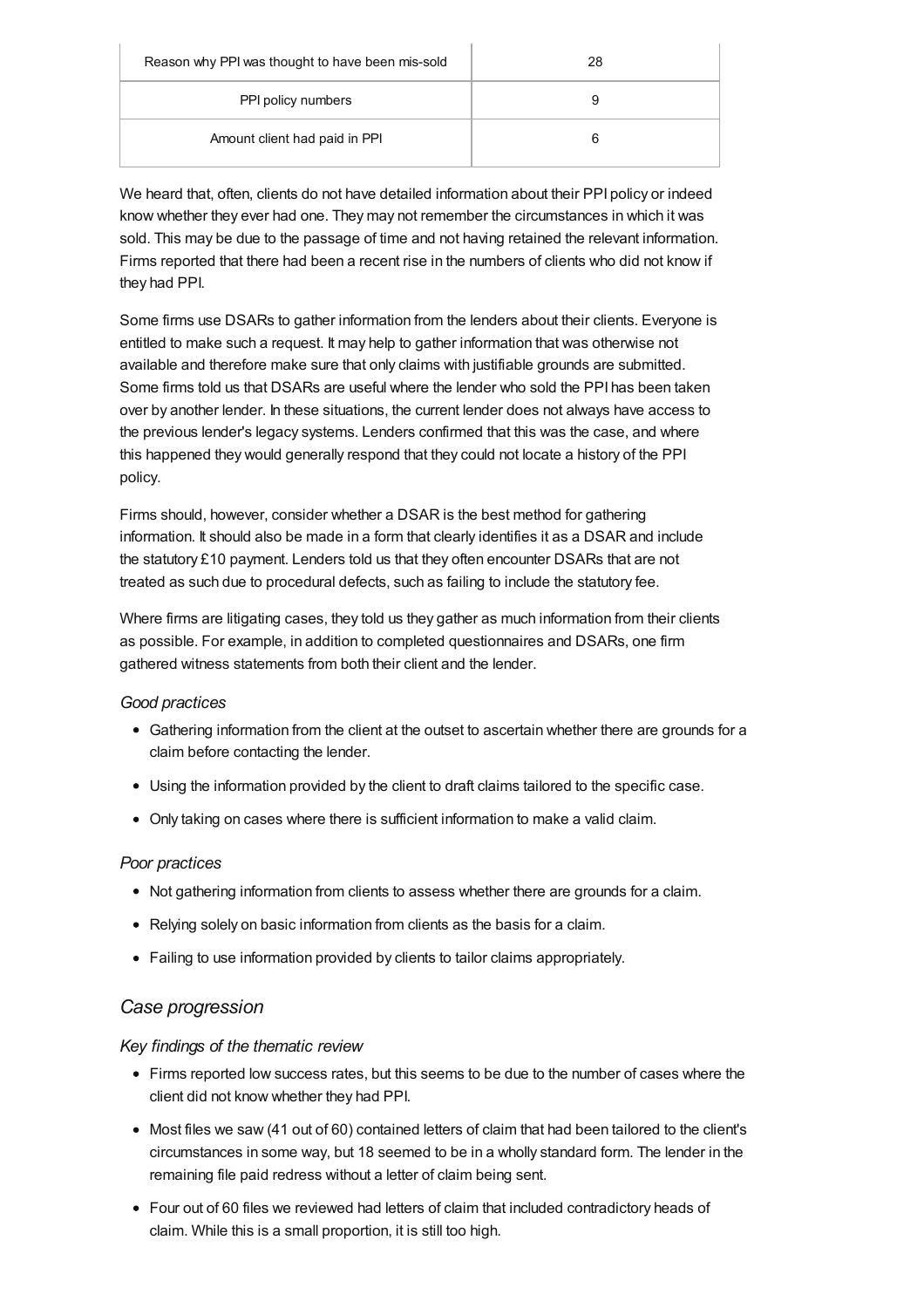| Reason why PPI was thought to have been mis-sold | 28 |
|--------------------------------------------------|----|
| PPI policy numbers                               | 9  |
| Amount client had paid in PPI                    |    |

We heard that, often, clients do not have detailed information about their PPI policy or indeed know whether they ever had one. They may not remember the circumstances in which it was sold. This may be due to the passage of time and not having retained the relevant information. Firms reported that there had been a recent rise in the numbers of clients who did not know if they had PPI.

Some firms use DSARs to gather information from the lenders about their clients. Everyone is entitled to make such a request. It may help to gather information that was otherwise not available and therefore make sure that only claims with justifiable grounds are submitted. Some firms told us that DSARs are useful where the lender who sold the PPI has been taken over by another lender. In these situations, the current lender does not always have access to the previous lender's legacy systems. Lenders confirmed that this was the case, and where this happened they would generally respond that they could not locate a history of the PPI policy.

Firms should, however, consider whether a DSAR is the best method for gathering information. It should also be made in a form that clearly identifies it as a DSAR and include the statutory £10 payment. Lenders told us that they often encounter DSARs that are not treated as such due to procedural defects, such as failing to include the statutory fee.

Where firms are litigating cases, they told us they gather as much information from their clients as possible. For example, in addition to completed questionnaires and DSARs, one firm gathered witness statements from both their client and the lender.

### *Good practices*

- Gathering information from the client at the outset to ascertain whether there are grounds for a claim before contacting the lender.
- Using the information provided by the client to draft claims tailored to the specific case.
- Only taking on cases where there is sufficient information to make a valid claim.

### *Poor practices*

- Not gathering information from clients to assess whether there are grounds for a claim.
- Relying solely on basic information from clients as the basis for a claim.
- Failing to use information provided by clients to tailor claims appropriately.

### *Case progression*

#### *Key findings of the thematic review*

- Firms reported low success rates, but this seems to be due to the number of cases where the client did not know whether they had PPI.
- Most files we saw (41 out of 60) contained letters of claim that had been tailored to the client's circumstances in some way, but 18 seemed to be in a wholly standard form. The lender in the remaining file paid redress without a letter of claim being sent.
- Four out of 60 files we reviewed had letters of claim that included contradictory heads of claim. While this is a small proportion, it is still too high.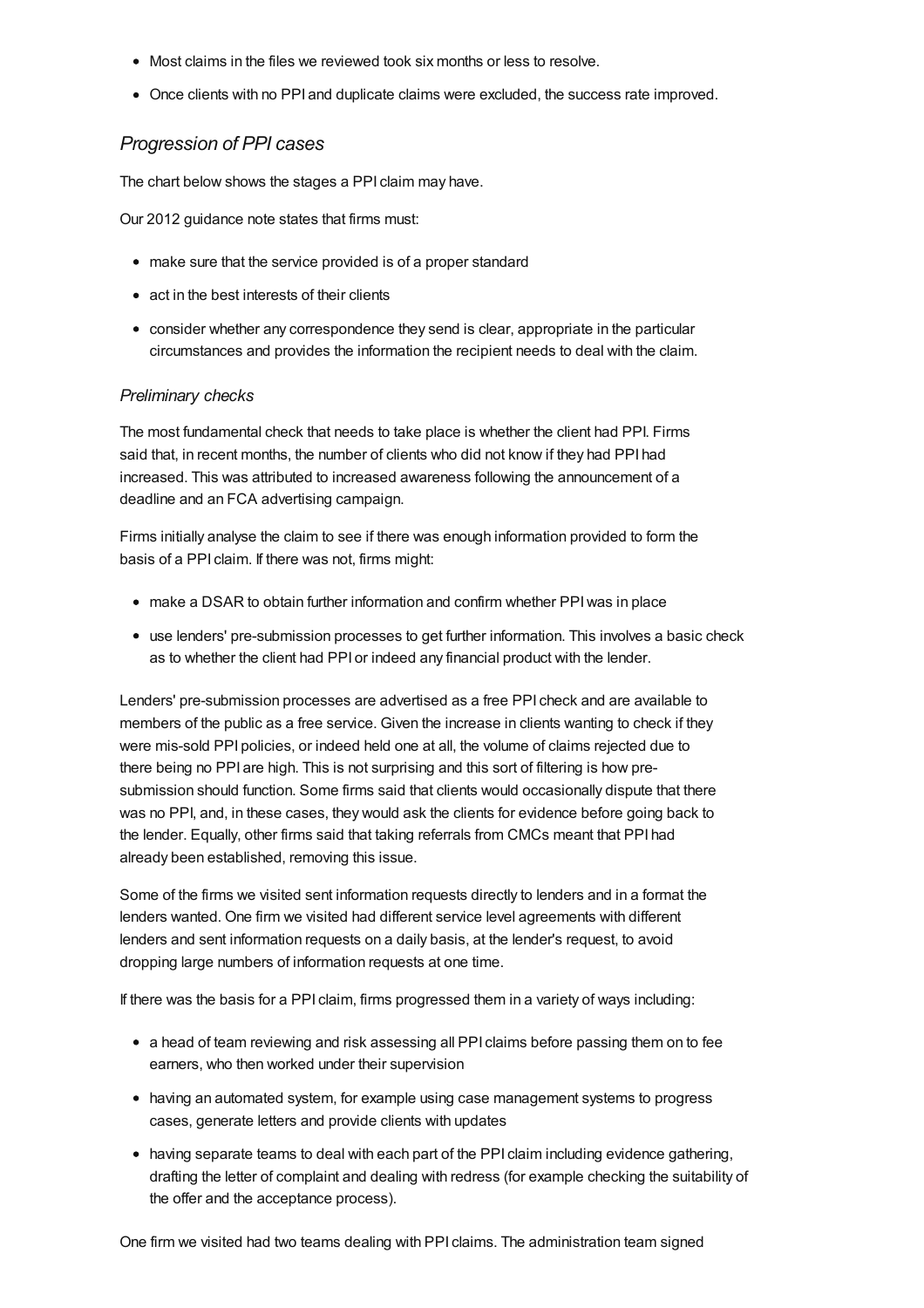- Most claims in the files we reviewed took six months or less to resolve.
- Once clients with no PPI and duplicate claims were excluded, the success rate improved.

#### *Progression of PPI cases*

The chart below shows the stages a PPI claim may have.

Our 2012 guidance note states that firms must:

- make sure that the service provided is of a proper standard
- act in the best interests of their clients
- consider whether any correspondence they send is clear, appropriate in the particular circumstances and provides the information the recipient needs to deal with the claim.

#### *Preliminary checks*

The most fundamental check that needs to take place is whether the client had PPI. Firms said that, in recent months, the number of clients who did not know if they had PPI had increased. This was attributed to increased awareness following the announcement of a deadline and an FCA advertising campaign.

Firms initially analyse the claim to see if there was enough information provided to form the basis of a PPI claim. If there was not, firms might:

- make a DSAR to obtain further information and confirm whether PPIwas in place
- use lenders' pre-submission processes to get further information. This involves a basic check as to whether the client had PPI or indeed any financial product with the lender.

Lenders' pre-submission processes are advertised as a free PPI check and are available to members of the public as a free service. Given the increase in clients wanting to check if they were mis-sold PPI policies, or indeed held one at all, the volume of claims rejected due to there being no PPI are high. This is not surprising and this sort of filtering is how presubmission should function. Some firms said that clients would occasionally dispute that there was no PPI, and, in these cases, they would ask the clients for evidence before going back to the lender. Equally, other firms said that taking referrals from CMCs meant that PPI had already been established, removing this issue.

Some of the firms we visited sent information requests directly to lenders and in a format the lenders wanted. One firm we visited had different service level agreements with different lenders and sent information requests on a daily basis, at the lender's request, to avoid dropping large numbers of information requests at one time.

If there was the basis for a PPI claim, firms progressed them in a variety of ways including:

- a head of team reviewing and risk assessing all PPI claims before passing them on to fee earners, who then worked under their supervision
- having an automated system, for example using case management systems to progress cases, generate letters and provide clients with updates
- having separate teams to deal with each part of the PPI claim including evidence gathering, drafting the letter of complaint and dealing with redress (for example checking the suitability of the offer and the acceptance process).

One firm we visited had two teams dealing with PPI claims. The administration team signed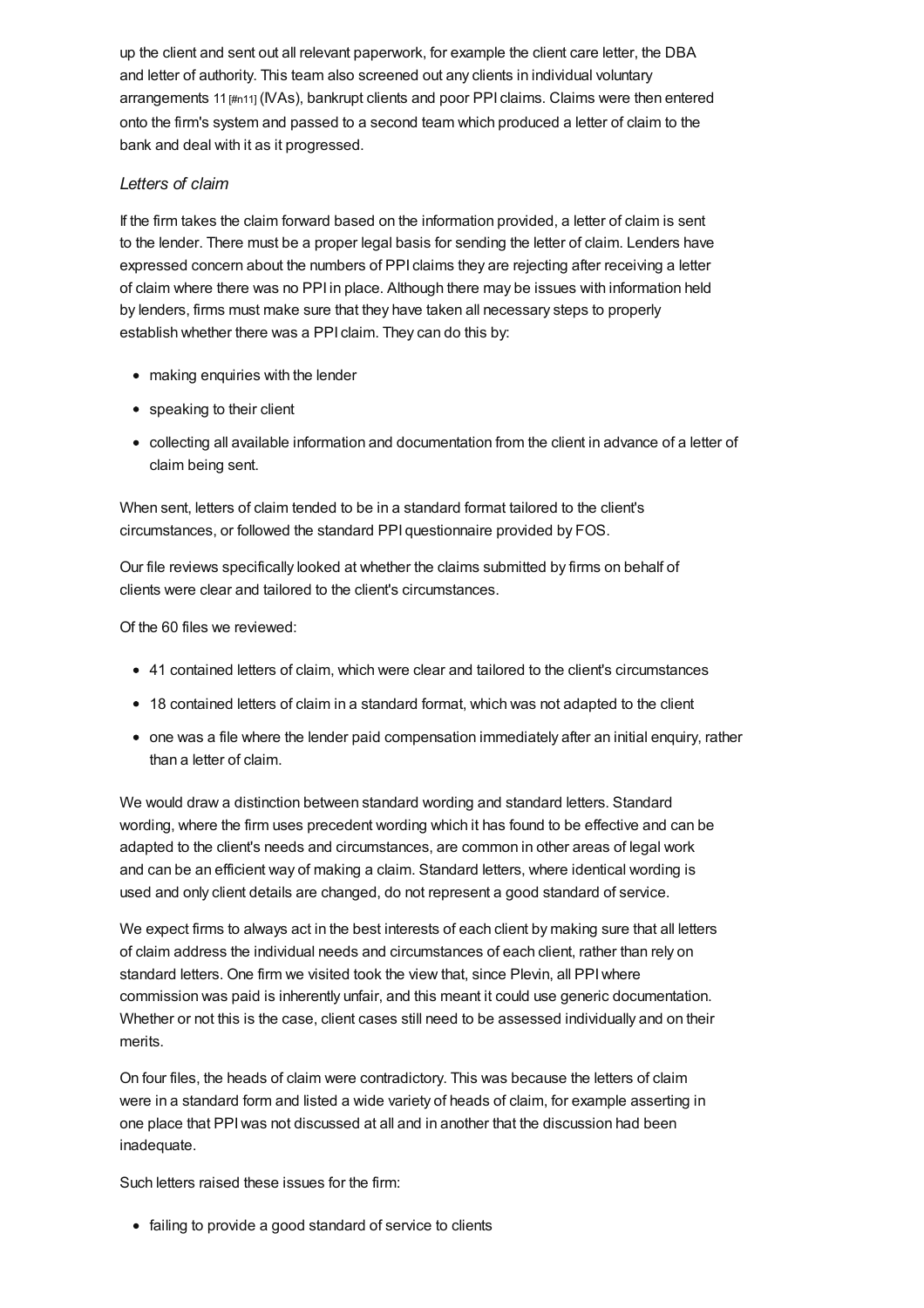up the client and sent out all relevant paperwork, for example the client care letter, the DBA and letter of authority. This team also screened out any clients in individual voluntary arrangements 11  $\mu$ <sub>111</sub> (IVAs), bankrupt clients and poor PPI claims. Claims were then entered onto the firm's system and passed to a second team which produced a letter of claim to the bank and deal with it as it progressed.

### *Letters of claim*

If the firm takes the claim forward based on the information provided, a letter of claim is sent to the lender. There must be a proper legal basis for sending the letter of claim. Lenders have expressed concern about the numbers of PPI claims they are rejecting after receiving a letter of claim where there was no PPI in place. Although there may be issues with information held by lenders, firms must make sure that they have taken all necessary steps to properly establish whether there was a PPI claim. They can do this by:

- making enquiries with the lender
- speaking to their client
- collecting all available information and documentation from the client in advance of a letter of claim being sent.

When sent, letters of claim tended to be in a standard format tailored to the client's circumstances, or followed the standard PPI questionnaire provided by FOS.

Our file reviews specifically looked at whether the claims submitted by firms on behalf of clients were clear and tailored to the client's circumstances.

Of the 60 files we reviewed:

- 41 contained letters of claim, which were clear and tailored to the client's circumstances
- 18 contained letters of claim in a standard format, which was not adapted to the client
- one was a file where the lender paid compensation immediately after an initial enquiry, rather than a letter of claim.

We would draw a distinction between standard wording and standard letters. Standard wording, where the firm uses precedent wording which it has found to be effective and can be adapted to the client's needs and circumstances, are common in other areas of legal work and can be an efficient way of making a claim. Standard letters, where identical wording is used and only client details are changed, do not represent a good standard of service.

We expect firms to always act in the best interests of each client by making sure that all letters of claim address the individual needs and circumstances of each client, rather than rely on standard letters. One firm we visited took the view that, since Plevin, all PPIwhere commission was paid is inherently unfair, and this meant it could use generic documentation. Whether or not this is the case, client cases still need to be assessed individually and on their merits.

On four files, the heads of claim were contradictory. This was because the letters of claim were in a standard form and listed a wide variety of heads of claim, for example asserting in one place that PPIwas not discussed at all and in another that the discussion had been inadequate.

Such letters raised these issues for the firm:

• failing to provide a good standard of service to clients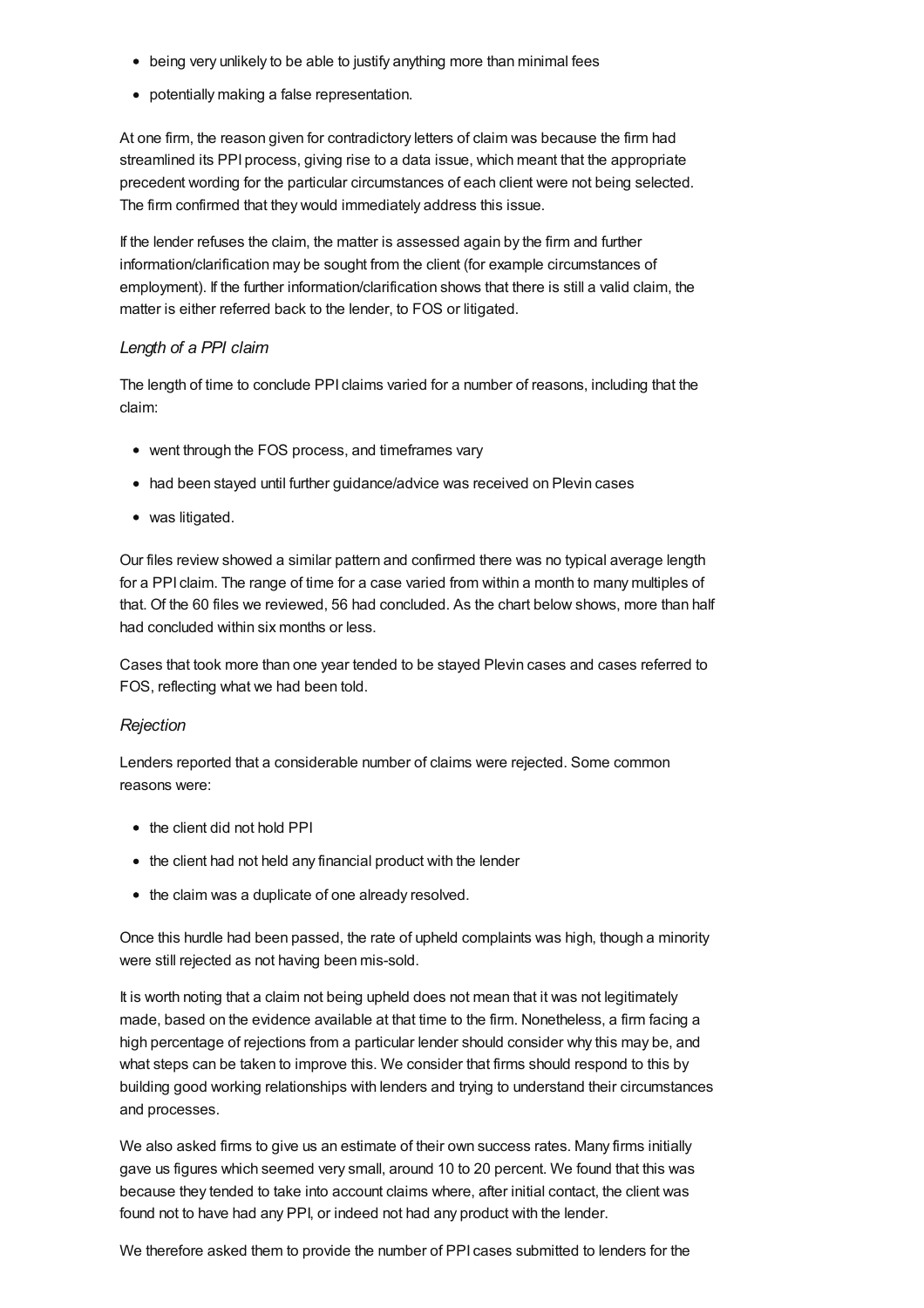- being very unlikely to be able to justify anything more than minimal fees
- potentially making a false representation.

At one firm, the reason given for contradictory letters of claim was because the firm had streamlined its PPI process, giving rise to a data issue, which meant that the appropriate precedent wording for the particular circumstances of each client were not being selected. The firm confirmed that they would immediately address this issue.

If the lender refuses the claim, the matter is assessed again by the firm and further information/clarification may be sought from the client (for example circumstances of employment). If the further information/clarification shows that there is still a valid claim, the matter is either referred back to the lender, to FOS or litigated.

### *Length of a PPI claim*

The length of time to conclude PPI claims varied for a number of reasons, including that the claim:

- went through the FOS process, and timeframes vary
- had been stayed until further guidance/advice was received on Plevin cases
- was litigated.

Our files review showed a similar pattern and confirmed there was no typical average length for a PPI claim. The range of time for a case varied from within a month to many multiples of that. Of the 60 files we reviewed, 56 had concluded. As the chart below shows, more than half had concluded within six months or less.

Cases that took more than one year tended to be stayed Plevin cases and cases referred to FOS, reflecting what we had been told.

### *Rejection*

Lenders reported that a considerable number of claims were rejected. Some common reasons were:

- the client did not hold PPI
- the client had not held any financial product with the lender
- the claim was a duplicate of one already resolved.

Once this hurdle had been passed, the rate of upheld complaints was high, though a minority were still rejected as not having been mis-sold.

It is worth noting that a claim not being upheld does not mean that it was not legitimately made, based on the evidence available at that time to the firm. Nonetheless, a firm facing a high percentage of rejections from a particular lender should consider why this may be, and what steps can be taken to improve this. We consider that firms should respond to this by building good working relationships with lenders and trying to understand their circumstances and processes.

We also asked firms to give us an estimate of their own success rates. Many firms initially gave us figures which seemed very small, around 10 to 20 percent. We found that this was because they tended to take into account claims where, after initial contact, the client was found not to have had any PPI, or indeed not had any product with the lender.

We therefore asked them to provide the number of PPI cases submitted to lenders for the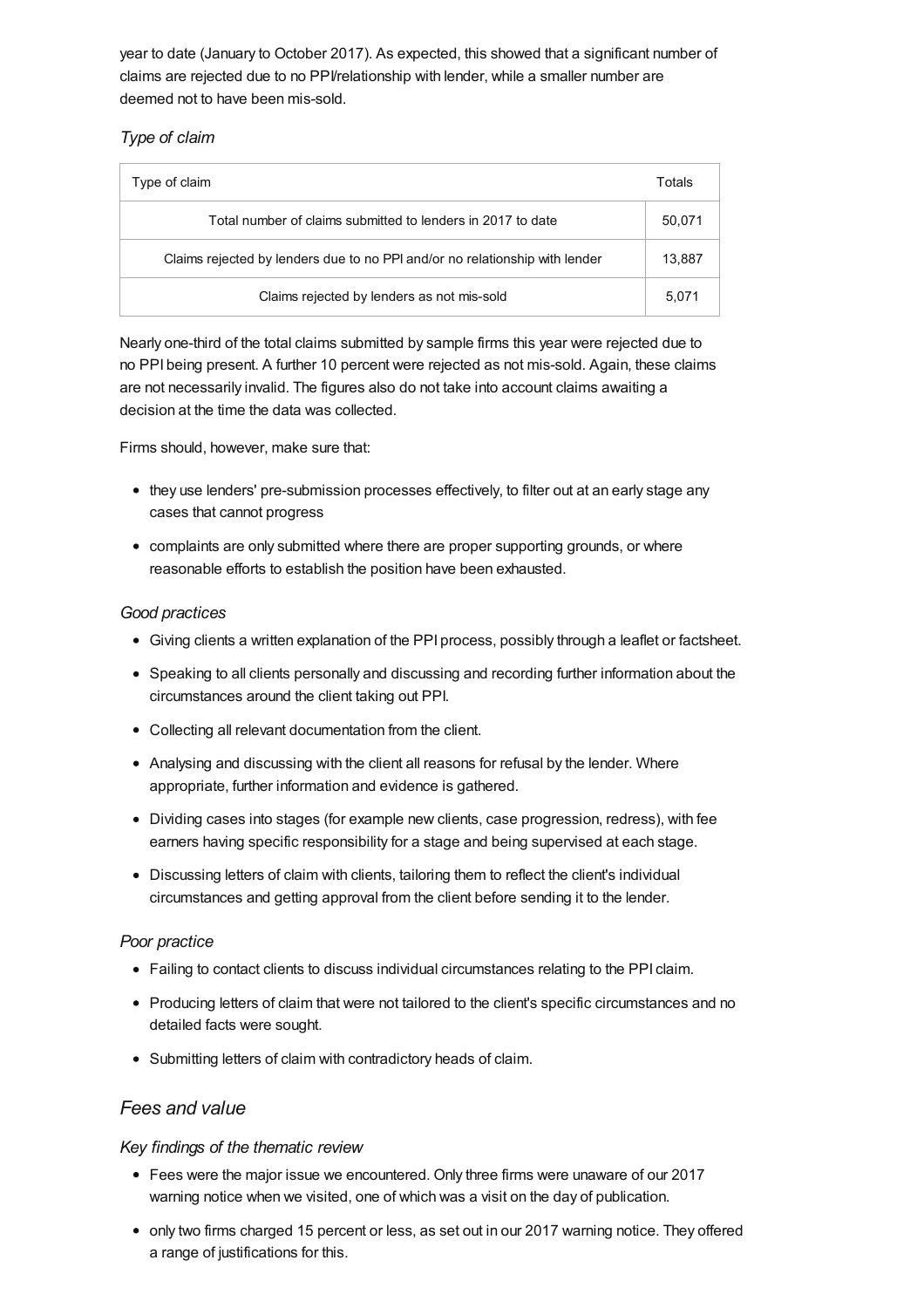year to date (January to October 2017). As expected, this showed that a significant number of claims are rejected due to no PPI/relationship with lender, while a smaller number are deemed not to have been mis-sold.

### *Type of claim*

| Type of claim                                                               | Totals |
|-----------------------------------------------------------------------------|--------|
| Total number of claims submitted to lenders in 2017 to date                 | 50,071 |
| Claims rejected by lenders due to no PPI and/or no relationship with lender | 13.887 |
| Claims rejected by lenders as not mis-sold                                  | 5.071  |

Nearly one-third of the total claims submitted by sample firms this year were rejected due to no PPI being present. A further 10 percent were rejected as not mis-sold. Again, these claims are not necessarily invalid. The figures also do not take into account claims awaiting a decision at the time the data was collected.

Firms should, however, make sure that:

- they use lenders' pre-submission processes effectively, to filter out at an early stage any cases that cannot progress
- complaints are only submitted where there are proper supporting grounds, or where reasonable efforts to establish the position have been exhausted.

### *Good practices*

- Giving clients a written explanation of the PPI process, possibly through a leaflet or factsheet.
- Speaking to all clients personally and discussing and recording further information about the circumstances around the client taking out PPI.
- Collecting all relevant documentation from the client.
- Analysing and discussing with the client all reasons for refusal by the lender. Where appropriate, further information and evidence is gathered.
- Dividing cases into stages (for example new clients, case progression, redress), with fee earners having specific responsibility for a stage and being supervised at each stage.
- Discussing letters of claim with clients, tailoring them to reflect the client's individual circumstances and getting approval from the client before sending it to the lender.

### *Poor practice*

- Failing to contact clients to discuss individual circumstances relating to the PPI claim.
- Producing letters of claim that were not tailored to the client's specific circumstances and no detailed facts were sought.
- Submitting letters of claim with contradictory heads of claim.

# *Fees and value*

### *Key findings of the thematic review*

- Fees were the major issue we encountered. Only three firms were unaware of our 2017 warning notice when we visited, one of which was a visit on the day of publication.
- only two firms charged 15 percent or less, as set out in our 2017 warning notice. They offered a range of justifications for this.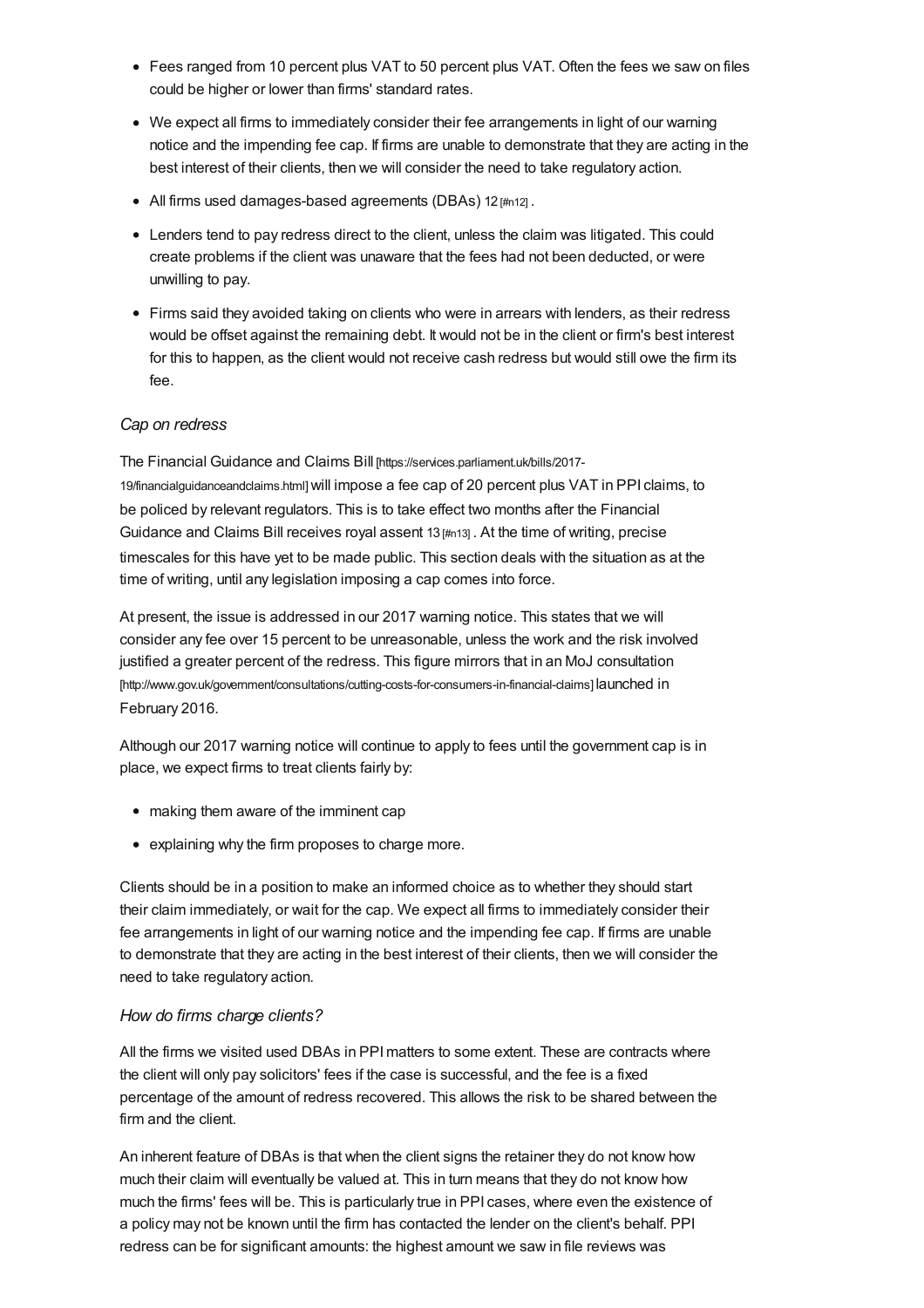- <span id="page-14-0"></span>Fees ranged from 10 percent plus VAT to 50 percent plus VAT. Often the fees we saw on files could be higher or lower than firms' standard rates.
- We expect all firms to immediately consider their fee arrangements in light of our warning notice and the impending fee cap. If firms are unable to demonstrate that they are acting in the best interest of their clients, then we will consider the need to take regulatory action.
- All firms used damages-based agreements (DBAs) 12  $\mu$ <sub>0121</sub>.
- Lenders tend to pay redress direct to the client, unless the claim was litigated. This could create problems if the client was unaware that the fees had not been deducted, or were unwilling to pay.
- Firms said they avoided taking on clients who were in arrears with lenders, as their redress would be offset against the remaining debt. It would not be in the client or firm's best interest for this to happen, as the client would not receive cash redress but would still owe the firm its fee.

#### *Cap on redress*

The Financial Guidance and Claims Bill [\[https://services.parliament.uk/bills/2017-](https://services.parliament.uk/bills/2017-19/financialguidanceandclaims.html) 19/financialguidanceandclaims.html]will impose a fee cap of 20 percent plus VAT in PPI claims, to be policed by relevant regulators. This is to take effect two months after the Financial Guidance and Claims Bill receives royal assent 13 [\[#n13\]](#page-34-6) . At the time of writing, precise timescales for this have yet to be made public. This section deals with the situation as at the time of writing, until any legislation imposing a cap comes into force.

At present, the issue is addressed in our 2017 warning notice. This states that we will consider any fee over 15 percent to be unreasonable, unless the work and the risk involved justified a greater percent of the redress. This figure mirrors that in an MoJ consultation [\[http://www.gov.uk/government/consultations/cutting-costs-for-consumers-in-financial-claims\]](http://www.gov.uk/government/consultations/cutting-costs-for-consumers-in-financial-claims) launched in February 2016.

Although our 2017 warning notice will continue to apply to fees until the government cap is in place, we expect firms to treat clients fairly by:

- making them aware of the imminent cap
- explaining why the firm proposes to charge more.

Clients should be in a position to make an informed choice as to whether they should start their claim immediately, or wait for the cap. We expect all firms to immediately consider their fee arrangements in light of our warning notice and the impending fee cap. If firms are unable to demonstrate that they are acting in the best interest of their clients, then we will consider the need to take regulatory action.

#### *How do firms charge clients?*

All the firms we visited used DBAs in PPImatters to some extent. These are contracts where the client will only pay solicitors' fees if the case is successful, and the fee is a fixed percentage of the amount of redress recovered. This allows the risk to be shared between the firm and the client.

An inherent feature of DBAs is that when the client signs the retainer they do not know how much their claim will eventually be valued at. This in turn means that they do not know how much the firms' fees will be. This is particularly true in PPI cases, where even the existence of a policy may not be known until the firm has contacted the lender on the client's behalf. PPI redress can be for significant amounts: the highest amount we saw in file reviews was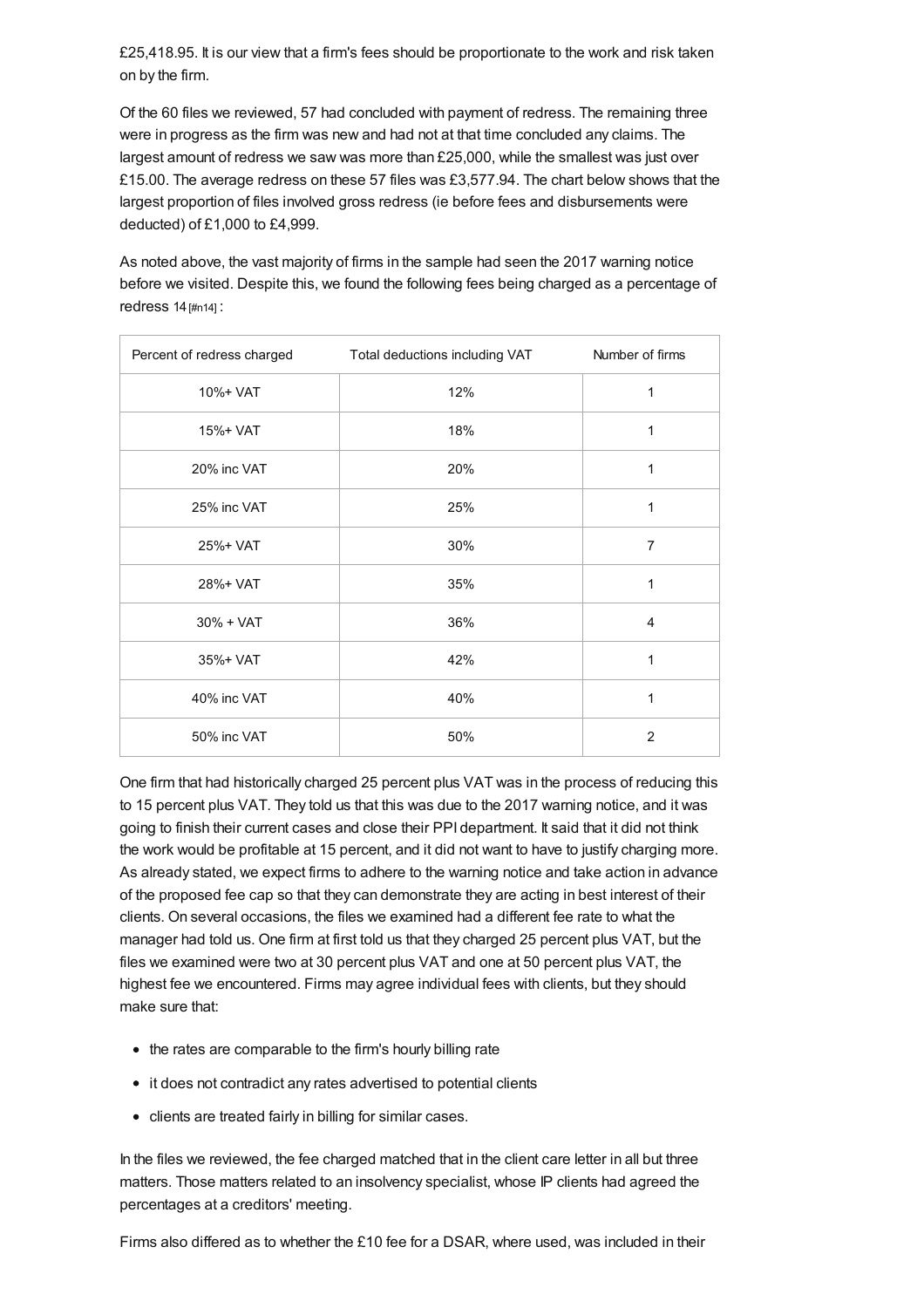£25,418.95. It is our view that a firm's fees should be proportionate to the work and risk taken on by the firm.

Of the 60 files we reviewed, 57 had concluded with payment of redress. The remaining three were in progress as the firm was new and had not at that time concluded any claims. The largest amount of redress we saw was more than £25,000, while the smallest was just over £15.00. The average redress on these 57 files was £3,577.94. The chart below shows that the largest proportion of files involved gross redress (ie before fees and disbursements were deducted) of £1,000 to £4,999.

As noted above, the vast majority of firms in the sample had seen the 2017 warning notice before we visited. Despite this, we found the following fees being charged as a percentage of redress 14 [\[#n14\]](#page-34-7) :

| Percent of redress charged | Total deductions including VAT | Number of firms |
|----------------------------|--------------------------------|-----------------|
| 10%+ VAT                   | 12%                            | 1               |
| 15%+ VAT                   | 18%                            | 1               |
| 20% inc VAT                | 20%                            | 1               |
| 25% inc VAT                | 25%                            | 1               |
| 25%+ VAT                   | 30%                            | $\overline{7}$  |
| 28%+ VAT                   | 35%                            | 1               |
| $30% + VAT$                | 36%                            | $\overline{4}$  |
| 35%+ VAT                   | 42%                            | 1               |
| 40% inc VAT                | 40%                            | 1               |
| 50% inc VAT                | 50%                            | 2               |

One firm that had historically charged 25 percent plus VAT was in the process of reducing this to 15 percent plus VAT. They told us that this was due to the 2017 warning notice, and it was going to finish their current cases and close their PPI department. It said that it did not think the work would be profitable at 15 percent, and it did not want to have to justify charging more. As already stated, we expect firms to adhere to the warning notice and take action in advance of the proposed fee cap so that they can demonstrate they are acting in best interest of their clients. On several occasions, the files we examined had a different fee rate to what the manager had told us. One firm at first told us that they charged 25 percent plus VAT, but the files we examined were two at 30 percent plus VAT and one at 50 percent plus VAT, the highest fee we encountered. Firms may agree individual fees with clients, but they should make sure that:

- the rates are comparable to the firm's hourly billing rate
- it does not contradict any rates advertised to potential clients
- clients are treated fairly in billing for similar cases.

In the files we reviewed, the fee charged matched that in the client care letter in all but three matters. Those matters related to an insolvency specialist, whose IP clients had agreed the percentages at a creditors' meeting.

Firms also differed as to whether the £10 fee for a DSAR, where used, was included in their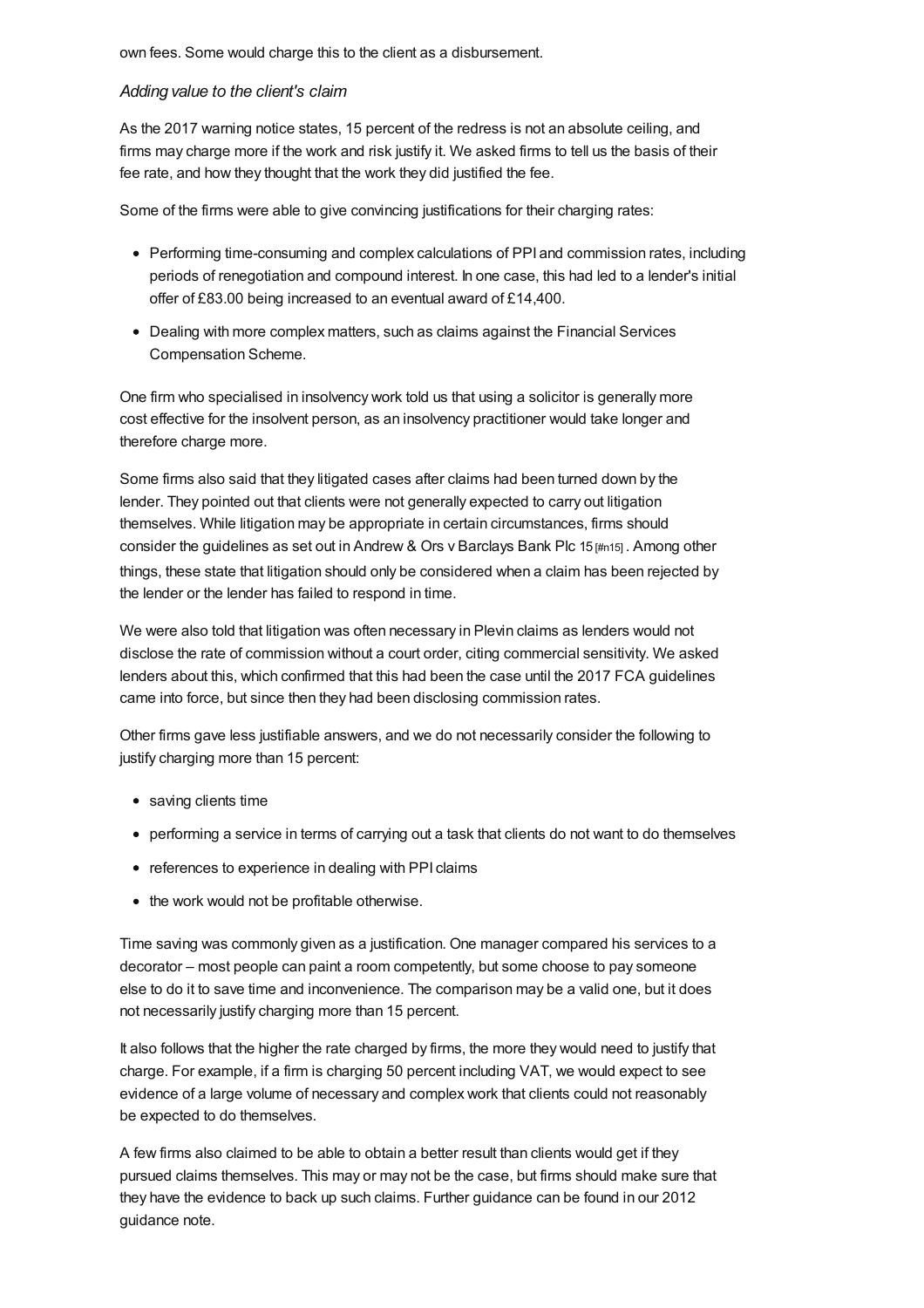own fees. Some would charge this to the client as a disbursement.

#### *Adding value to the client's claim*

As the 2017 warning notice states, 15 percent of the redress is not an absolute ceiling, and firms may charge more if the work and risk justify it. We asked firms to tell us the basis of their fee rate, and how they thought that the work they did justified the fee.

Some of the firms were able to give convincing justifications for their charging rates:

- Performing time-consuming and complex calculations of PPI and commission rates, including periods of renegotiation and compound interest. In one case, this had led to a lender's initial offer of £83.00 being increased to an eventual award of £14,400.
- Dealing with more complex matters, such as claims against the Financial Services Compensation Scheme.

One firm who specialised in insolvency work told us that using a solicitor is generally more cost effective for the insolvent person, as an insolvency practitioner would take longer and therefore charge more.

Some firms also said that they litigated cases after claims had been turned down by the lender. They pointed out that clients were not generally expected to carry out litigation themselves. While litigation may be appropriate in certain circumstances, firms should consider the guidelines as set out in Andrew & Ors v Barclays Bank Plc 15 [\[#n15\]](#page-34-8) . Among other things, these state that litigation should only be considered when a claim has been rejected by the lender or the lender has failed to respond in time.

We were also told that litigation was often necessary in Plevin claims as lenders would not disclose the rate of commission without a court order, citing commercial sensitivity. We asked lenders about this, which confirmed that this had been the case until the 2017 FCA guidelines came into force, but since then they had been disclosing commission rates.

Other firms gave less justifiable answers, and we do not necessarily consider the following to justify charging more than 15 percent:

- saving clients time
- performing a service in terms of carrying out a task that clients do not want to do themselves
- references to experience in dealing with PPI claims
- the work would not be profitable otherwise.

Time saving was commonly given as a justification. One manager compared his services to a decorator – most people can paint a room competently, but some choose to pay someone else to do it to save time and inconvenience. The comparison may be a valid one, but it does not necessarily justify charging more than 15 percent.

It also follows that the higher the rate charged by firms, the more they would need to justify that charge. For example, if a firm is charging 50 percent including VAT, we would expect to see evidence of a large volume of necessary and complex work that clients could not reasonably be expected to do themselves.

A few firms also claimed to be able to obtain a better result than clients would get if they pursued claims themselves. This may or may not be the case, but firms should make sure that they have the evidence to back up such claims. Further guidance can be found in our 2012 guidance note.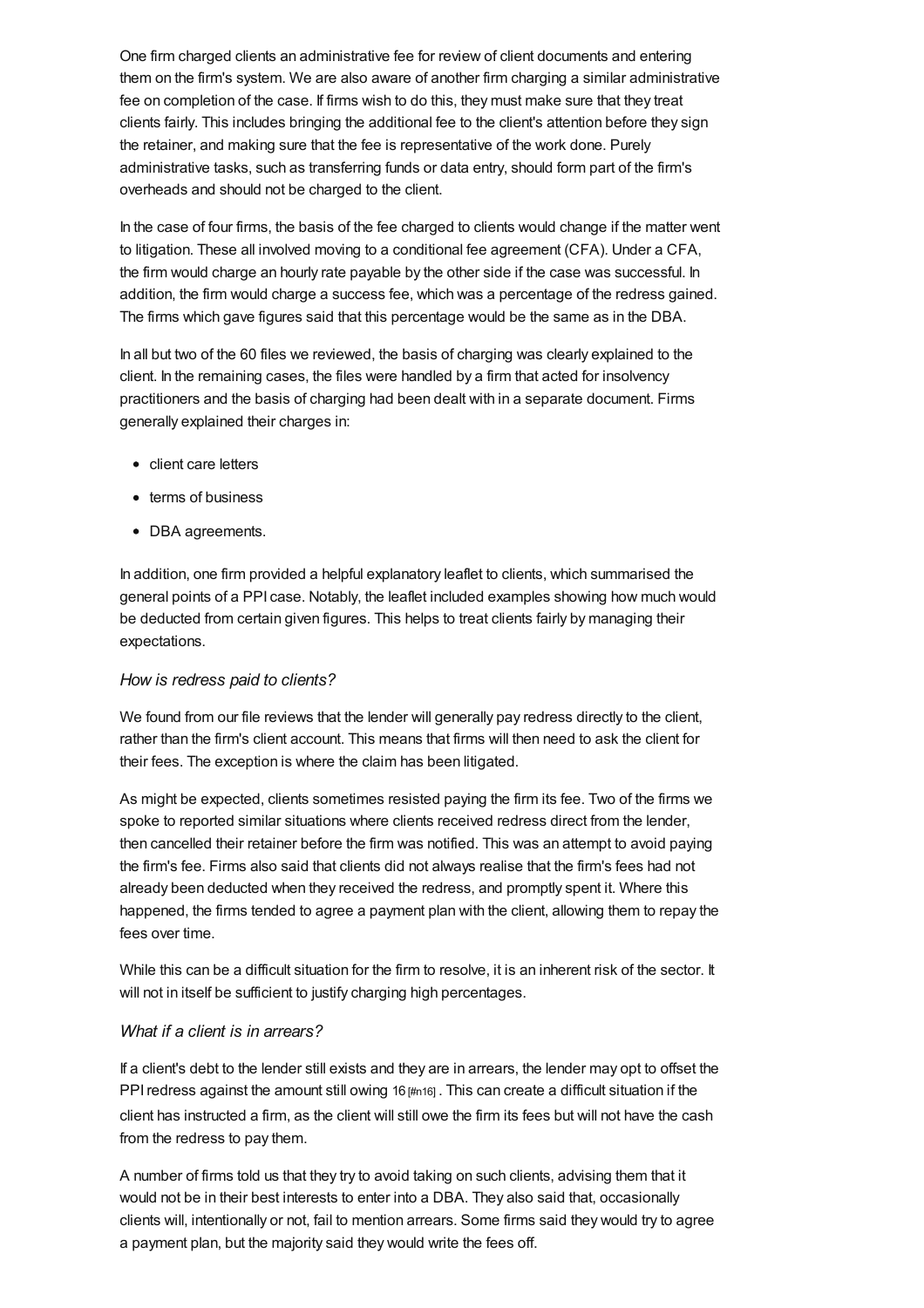One firm charged clients an administrative fee for review of client documents and entering them on the firm's system. We are also aware of another firm charging a similar administrative fee on completion of the case. If firms wish to do this, they must make sure that they treat clients fairly. This includes bringing the additional fee to the client's attention before they sign the retainer, and making sure that the fee is representative of the work done. Purely administrative tasks, such as transferring funds or data entry, should form part of the firm's overheads and should not be charged to the client.

In the case of four firms, the basis of the fee charged to clients would change if the matter went to litigation. These all involved moving to a conditional fee agreement (CFA). Under a CFA, the firm would charge an hourly rate payable by the other side if the case was successful. In addition, the firm would charge a success fee, which was a percentage of the redress gained. The firms which gave figures said that this percentage would be the same as in the DBA.

In all but two of the 60 files we reviewed, the basis of charging was clearly explained to the client. In the remaining cases, the files were handled by a firm that acted for insolvency practitioners and the basis of charging had been dealt with in a separate document. Firms generally explained their charges in:

- client care letters
- terms of business
- DBA agreements.

In addition, one firm provided a helpful explanatory leaflet to clients, which summarised the general points of a PPI case. Notably, the leaflet included examples showing how much would be deducted from certain given figures. This helps to treat clients fairly by managing their expectations.

### *How is redress paid to clients?*

We found from our file reviews that the lender will generally pay redress directly to the client, rather than the firm's client account. This means that firms will then need to ask the client for their fees. The exception is where the claim has been litigated.

As might be expected, clients sometimes resisted paying the firm its fee. Two of the firms we spoke to reported similar situations where clients received redress direct from the lender, then cancelled their retainer before the firm was notified. This was an attempt to avoid paying the firm's fee. Firms also said that clients did not always realise that the firm's fees had not already been deducted when they received the redress, and promptly spent it. Where this happened, the firms tended to agree a payment plan with the client, allowing them to repay the fees over time.

While this can be a difficult situation for the firm to resolve, it is an inherent risk of the sector. It will not in itself be sufficient to justify charging high percentages.

### *What if a client is in arrears?*

If a client's debt to the lender still exists and they are in arrears, the lender may opt to offset the PPI redress against the amount still owing 16 [\[#n16\]](#page-34-9). This can create a difficult situation if the client has instructed a firm, as the client will still owe the firm its fees but will not have the cash from the redress to pay them.

A number of firms told us that they try to avoid taking on such clients, advising them that it would not be in their best interests to enter into a DBA. They also said that, occasionally clients will, intentionally or not, fail to mention arrears. Some firms said they would try to agree a payment plan, but the majority said they would write the fees off.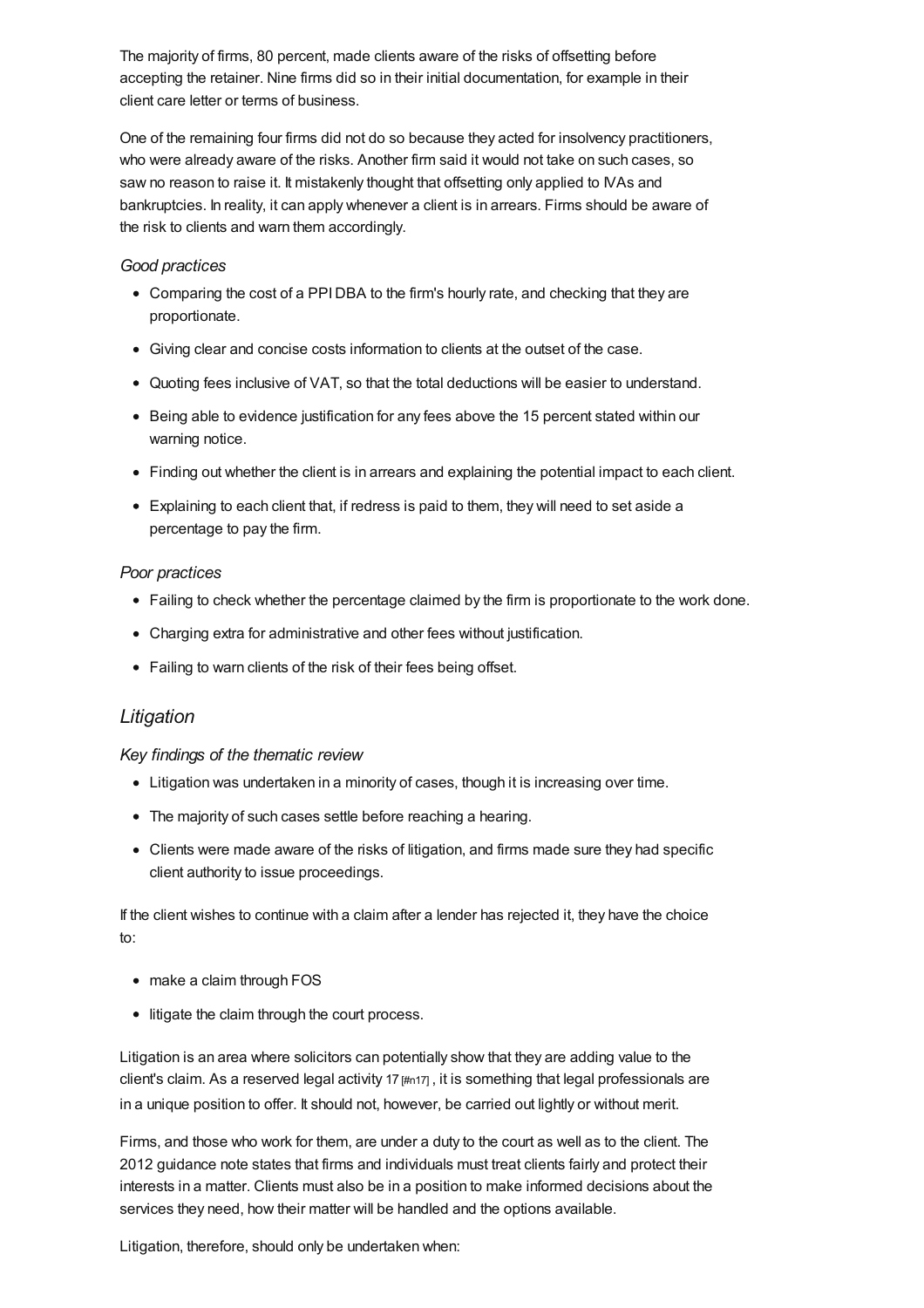The majority of firms, 80 percent, made clients aware of the risks of offsetting before accepting the retainer. Nine firms did so in their initial documentation, for example in their client care letter or terms of business.

One of the remaining four firms did not do so because they acted for insolvency practitioners, who were already aware of the risks. Another firm said it would not take on such cases, so saw no reason to raise it. It mistakenly thought that offsetting only applied to IVAs and bankruptcies. In reality, it can apply whenever a client is in arrears. Firms should be aware of the risk to clients and warn them accordingly.

#### *Good practices*

- Comparing the cost of a PPIDBA to the firm's hourly rate, and checking that they are proportionate.
- Giving clear and concise costs information to clients at the outset of the case.
- Quoting fees inclusive of VAT, so that the total deductions will be easier to understand.
- Being able to evidence justification for any fees above the 15 percent stated within our warning notice.
- Finding out whether the client is in arrears and explaining the potential impact to each client.
- Explaining to each client that, if redress is paid to them, they will need to set aside a percentage to pay the firm.

### *Poor practices*

- Failing to check whether the percentage claimed by the firm is proportionate to the work done.
- Charging extra for administrative and other fees without justification.
- Failing to warn clients of the risk of their fees being offset.

# *Litigation*

### *Key findings of the thematic review*

- Litigation was undertaken in a minority of cases, though it is increasing over time.
- The majority of such cases settle before reaching a hearing.
- Clients were made aware of the risks of litigation, and firms made sure they had specific client authority to issue proceedings.

If the client wishes to continue with a claim after a lender has rejected it, they have the choice to:

- make a claim through FOS
- litigate the claim through the court process.

Litigation is an area where solicitors can potentially show that they are adding value to the client's claim. As a reserved legal activity 17 [\[#n17\]](#page-34-10), it is something that legal professionals are in a unique position to offer. It should not, however, be carried out lightly or without merit.

Firms, and those who work for them, are under a duty to the court as well as to the client. The 2012 guidance note states that firms and individuals must treat clients fairly and protect their interests in a matter. Clients must also be in a position to make informed decisions about the services they need, how their matter will be handled and the options available.

Litigation, therefore, should only be undertaken when: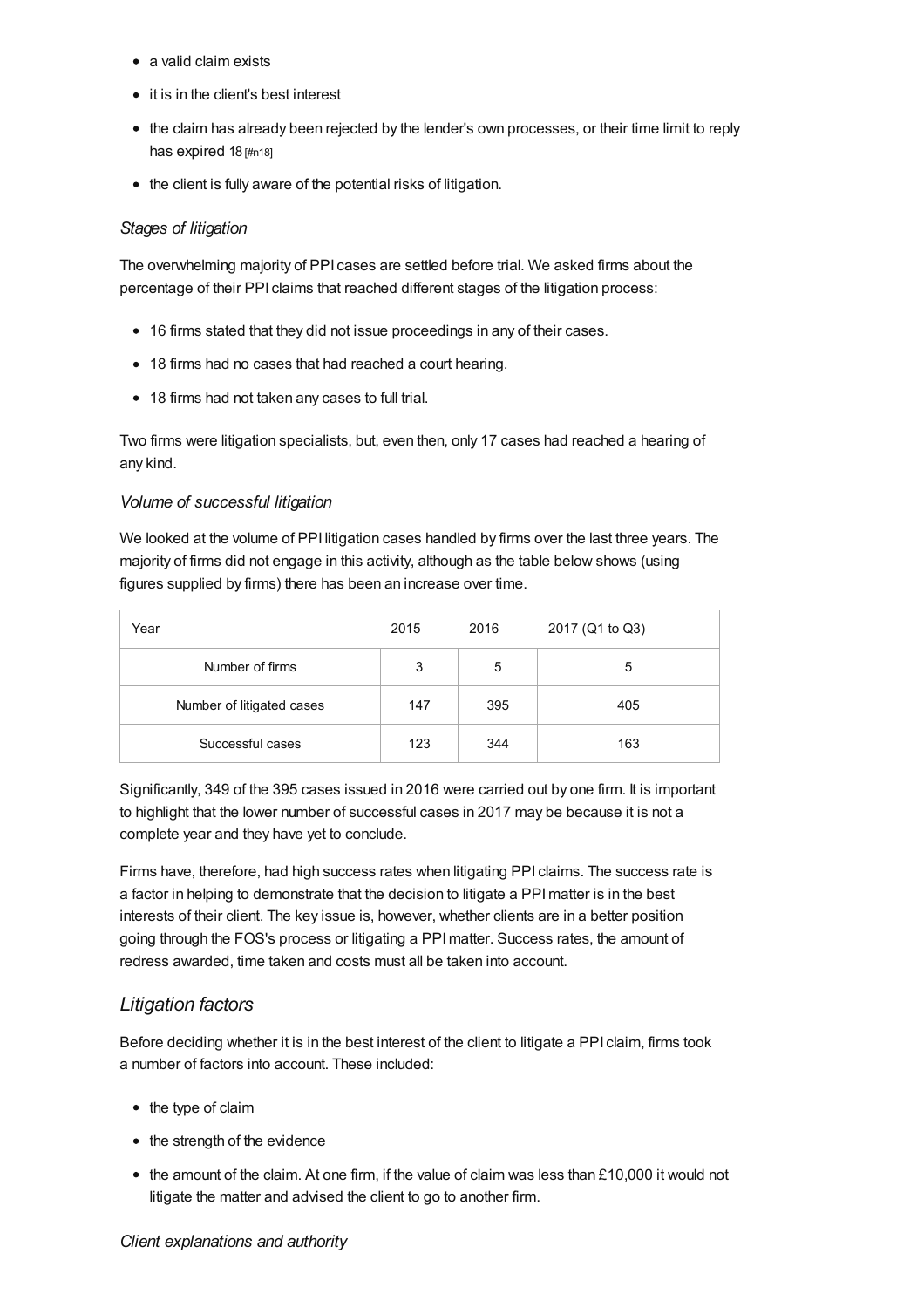- a valid claim exists
- it is in the client's best interest
- the claim has already been rejected by the lender's own processes, or their time limit to reply has expired 18 [\[#n18\]](#page-34-11)
- the client is fully aware of the potential risks of litigation.

### *Stages of litigation*

The overwhelming majority of PPI cases are settled before trial. We asked firms about the percentage of their PPI claims that reached different stages of the litigation process:

- 16 firms stated that they did not issue proceedings in any of their cases.
- 18 firms had no cases that had reached a court hearing.
- 18 firms had not taken any cases to full trial.

Two firms were litigation specialists, but, even then, only 17 cases had reached a hearing of any kind.

### *Volume of successful litigation*

We looked at the volume of PPI litigation cases handled by firms over the last three years. The majority of firms did not engage in this activity, although as the table below shows (using figures supplied by firms) there has been an increase over time.

| Year                      | 2015 | 2016 | 2017 (Q1 to Q3) |
|---------------------------|------|------|-----------------|
| Number of firms           | 3    | 5    | 5               |
| Number of litigated cases | 147  | 395  | 405             |
| Successful cases          | 123  | 344  | 163             |

Significantly, 349 of the 395 cases issued in 2016 were carried out by one firm. It is important to highlight that the lower number of successful cases in 2017 may be because it is not a complete year and they have yet to conclude.

Firms have, therefore, had high success rates when litigating PPI claims. The success rate is a factor in helping to demonstrate that the decision to litigate a PPImatter is in the best interests of their client. The key issue is, however, whether clients are in a better position going through the FOS's process or litigating a PPImatter. Success rates, the amount of redress awarded, time taken and costs must all be taken into account.

# *Litigation factors*

Before deciding whether it is in the best interest of the client to litigate a PPI claim, firms took a number of factors into account. These included:

- the type of claim
- the strength of the evidence
- $\bullet$  the amount of the claim. At one firm, if the value of claim was less than £10,000 it would not litigate the matter and advised the client to go to another firm.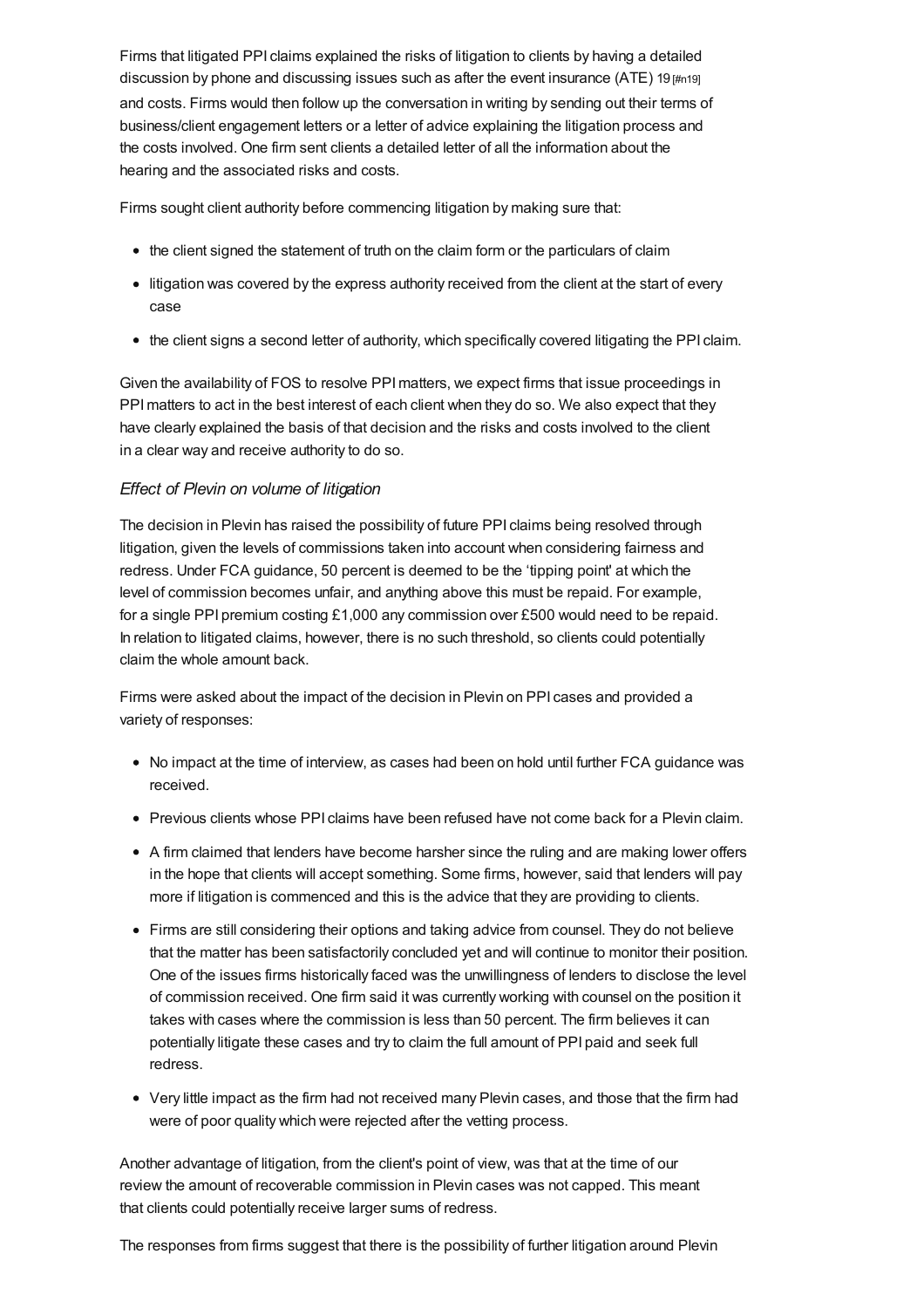Firms that litigated PPI claims explained the risks of litigation to clients by having a detailed discussion by phone and discussing issues such as after the event insurance (ATE) 19  $\mu$ <sub>m19</sub> and costs. Firms would then follow up the conversation in writing by sending out their terms of business/client engagement letters or a letter of advice explaining the litigation process and the costs involved. One firm sent clients a detailed letter of all the information about the hearing and the associated risks and costs.

Firms sought client authority before commencing litigation by making sure that:

- the client signed the statement of truth on the claim form or the particulars of claim
- litigation was covered by the express authority received from the client at the start of every case
- the client signs a second letter of authority, which specifically covered litigating the PPI claim.

Given the availability of FOS to resolve PPImatters, we expect firms that issue proceedings in PPI matters to act in the best interest of each client when they do so. We also expect that they have clearly explained the basis of that decision and the risks and costs involved to the client in a clear way and receive authority to do so.

### *Effect of Plevin on volume of litigation*

The decision in Plevin has raised the possibility of future PPI claims being resolved through litigation, given the levels of commissions taken into account when considering fairness and redress. Under FCA guidance, 50 percent is deemed to be the 'tipping point' at which the level of commission becomes unfair, and anything above this must be repaid. For example, for a single PPI premium costing £1,000 any commission over £500 would need to be repaid. In relation to litigated claims, however, there is no such threshold, so clients could potentially claim the whole amount back.

Firms were asked about the impact of the decision in Plevin on PPI cases and provided a variety of responses:

- No impact at the time of interview, as cases had been on hold until further FCA guidance was received.
- Previous clients whose PPI claims have been refused have not come back for a Plevin claim.
- A firm claimed that lenders have become harsher since the ruling and are making lower offers in the hope that clients will accept something. Some firms, however, said that lenders will pay more if litigation is commenced and this is the advice that they are providing to clients.
- Firms are still considering their options and taking advice from counsel. They do not believe that the matter has been satisfactorily concluded yet and will continue to monitor their position. One of the issues firms historically faced was the unwillingness of lenders to disclose the level of commission received. One firm said it was currently working with counsel on the position it takes with cases where the commission is less than 50 percent. The firm believes it can potentially litigate these cases and try to claim the full amount of PPI paid and seek full redress.
- Very little impact as the firm had not received many Plevin cases, and those that the firm had were of poor quality which were rejected after the vetting process.

Another advantage of litigation, from the client's point of view, was that at the time of our review the amount of recoverable commission in Plevin cases was not capped. This meant that clients could potentially receive larger sums of redress.

The responses from firms suggest that there is the possibility of further litigation around Plevin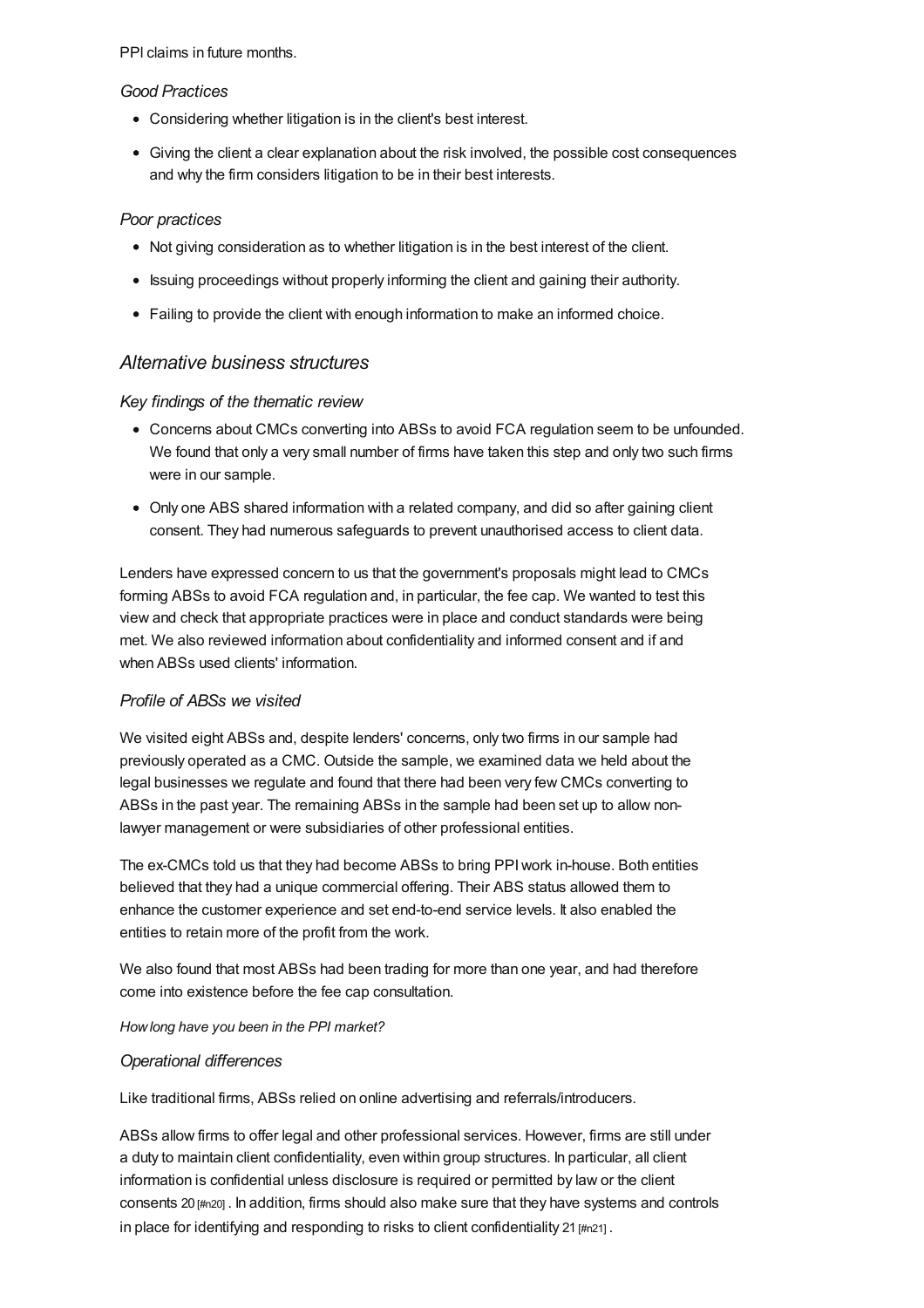PPl claims in future months.

### *Good Practices*

- Considering whether litigation is in the client's best interest.
- Giving the client a clear explanation about the risk involved, the possible cost consequences and why the firm considers litigation to be in their best interests.

### *Poor practices*

- Not giving consideration as to whether litigation is in the best interest of the client.
- Issuing proceedings without properly informing the client and gaining their authority.
- Failing to provide the client with enough information to make an informed choice.

# *Alternative business structures*

### *Key findings of the thematic review*

- Concerns about CMCs converting into ABSs to avoid FCA regulation seem to be unfounded. We found that only a very small number of firms have taken this step and only two such firms were in our sample.
- Only one ABS shared information with a related company, and did so after gaining client consent. They had numerous safeguards to prevent unauthorised access to client data.

Lenders have expressed concern to us that the government's proposals might lead to CMCs forming ABSs to avoid FCA regulation and, in particular, the fee cap. We wanted to test this view and check that appropriate practices were in place and conduct standards were being met. We also reviewed information about confidentiality and informed consent and if and when ABSs used clients' information.

### *Profile of ABSs we visited*

We visited eight ABSs and, despite lenders' concerns, only two firms in our sample had previously operated as a CMC. Outside the sample, we examined data we held about the legal businesses we regulate and found that there had been very few CMCs converting to ABSs in the past year. The remaining ABSs in the sample had been set up to allow nonlawyer management or were subsidiaries of other professional entities.

The ex-CMCs told us that they had become ABSs to bring PPIwork in-house. Both entities believed that they had a unique commercial offering. Their ABS status allowed them to enhance the customer experience and set end-to-end service levels. It also enabled the entities to retain more of the profit from the work.

We also found that most ABSs had been trading for more than one year, and had therefore come into existence before the fee cap consultation.

### *Howlong have you been in the PPI market?*

### *Operational differences*

Like traditional firms, ABSs relied on online advertising and referrals/introducers.

ABSs allow firms to offer legal and other professional services. However, firms are still under a duty to maintain client confidentiality, even within group structures. In particular, all client information is confidential unless disclosure is required or permitted by law or the client consents 20 [\[#n20\]](#page-34-13) . In addition, firms should also make sure that they have systems and controls in place for identifying and responding to risks to client confidentiality 21 [\[#n21\]](#page-34-14).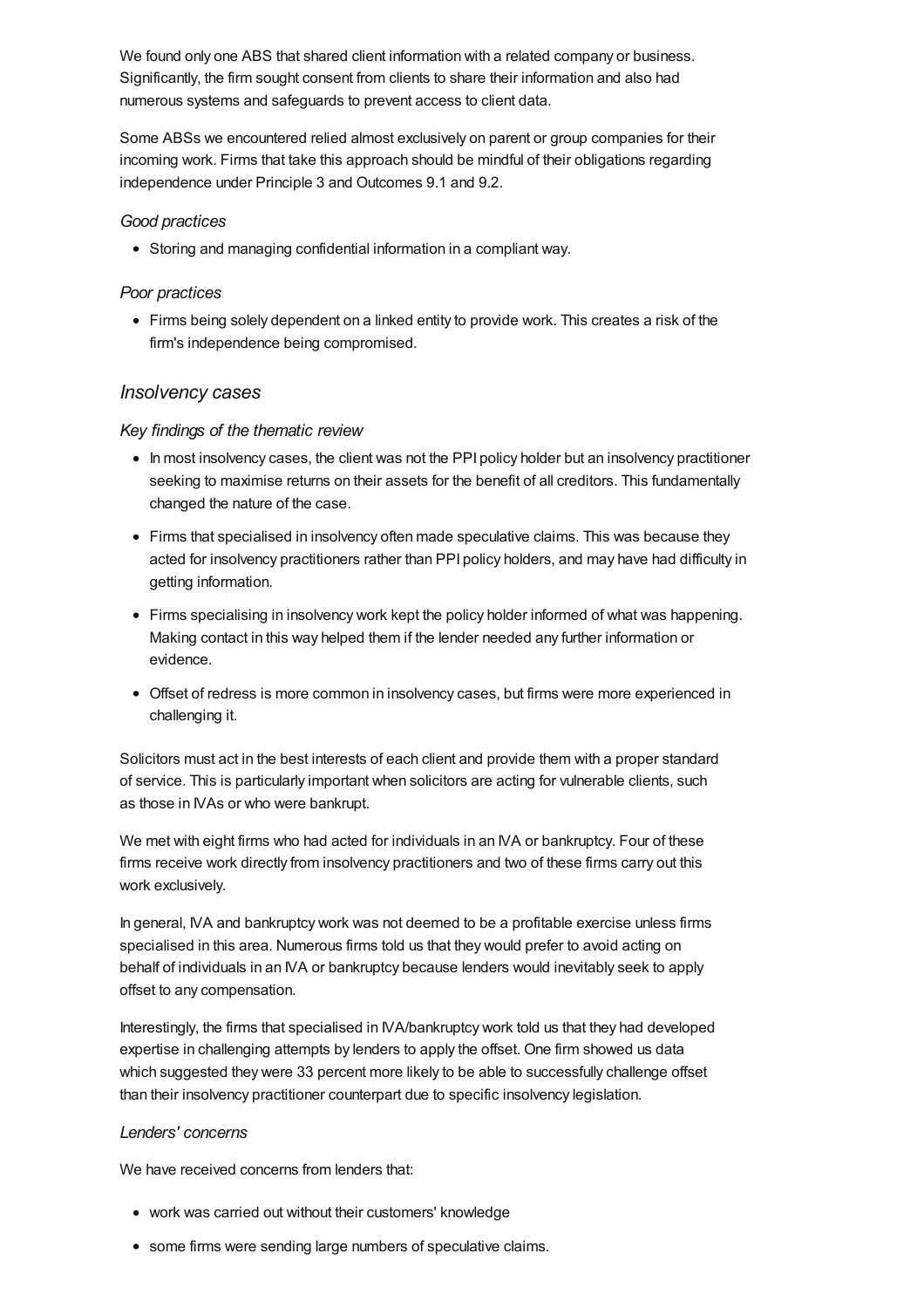We found only one ABS that shared client information with a related company or business. Significantly, the firm sought consent from clients to share their information and also had numerous systems and safeguards to prevent access to client data.

Some ABSs we encountered relied almost exclusively on parent or group companies for their incoming work. Firms that take this approach should be mindful of their obligations regarding independence under Principle 3 and Outcomes 9.1 and 9.2.

#### *Good practices*

Storing and managing confidential information in a compliant way.

### *Poor practices*

Firms being solely dependent on a linked entity to provide work. This creates a risk of the firm's independence being compromised.

### *Insolvency cases*

#### *Key findings of the thematic review*

- In most insolvency cases, the client was not the PPI policy holder but an insolvency practitioner seeking to maximise returns on their assets for the benefit of all creditors. This fundamentally changed the nature of the case.
- Firms that specialised in insolvency often made speculative claims. This was because they acted for insolvency practitioners rather than PPI policy holders, and may have had difficulty in getting information.
- Firms specialising in insolvency work kept the policy holder informed of what was happening. Making contact in this way helped them if the lender needed any further information or evidence.
- Offset of redress is more common in insolvency cases, but firms were more experienced in challenging it.

Solicitors must act in the best interests of each client and provide them with a proper standard of service. This is particularly important when solicitors are acting for vulnerable clients, such as those in IVAs or who were bankrupt.

We met with eight firms who had acted for individuals in an IVA or bankruptcy. Four of these firms receive work directly from insolvency practitioners and two of these firms carry out this work exclusively.

In general, IVA and bankruptcy work was not deemed to be a profitable exercise unless firms specialised in this area. Numerous firms told us that they would prefer to avoid acting on behalf of individuals in an IVA or bankruptcy because lenders would inevitably seek to apply offset to any compensation.

Interestingly, the firms that specialised in IVA/bankruptcy work told us that they had developed expertise in challenging attempts by lenders to apply the offset. One firm showed us data which suggested they were 33 percent more likely to be able to successfully challenge offset than their insolvency practitioner counterpart due to specific insolvency legislation.

### *Lenders' concerns*

We have received concerns from lenders that:

- work was carried out without their customers' knowledge
- some firms were sending large numbers of speculative claims.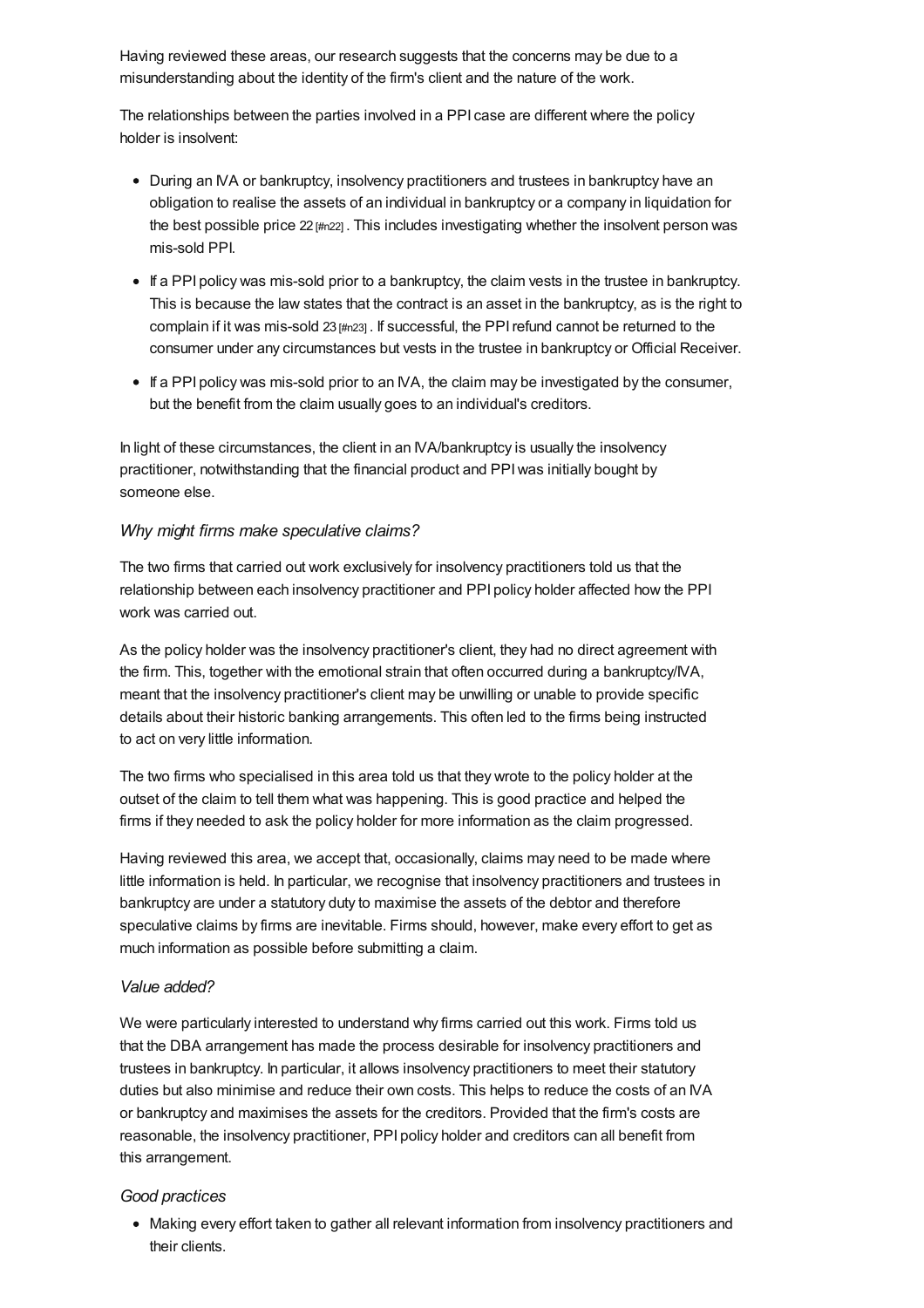Having reviewed these areas, our research suggests that the concerns may be due to a misunderstanding about the identity of the firm's client and the nature of the work.

The relationships between the parties involved in a PPI case are different where the policy holder is insolvent:

- During an IVA or bankruptcy, insolvency practitioners and trustees in bankruptcy have an obligation to realise the assets of an individual in bankruptcy or a company in liquidation for the best possible price  $22 \frac{m}{22}$ . This includes investigating whether the insolvent person was mis-sold PPI.
- If a PPI policy was mis-sold prior to a bankruptcy, the claim vests in the trustee in bankruptcy. This is because the law states that the contract is an asset in the bankruptcy, as is the right to complain if it was mis-sold  $23$   $\mu$ n23]. If successful, the PPI refund cannot be returned to the consumer under any circumstances but vests in the trustee in bankruptcy or Official Receiver.
- If a PPI policy was mis-sold prior to an IVA, the claim may be investigated by the consumer, but the benefit from the claim usually goes to an individual's creditors.

In light of these circumstances, the client in an IVA/bankruptcy is usually the insolvency practitioner, notwithstanding that the financial product and PPIwas initially bought by someone else.

### *Why might firms make speculative claims?*

The two firms that carried out work exclusively for insolvency practitioners told us that the relationship between each insolvency practitioner and PPI policy holder affected how the PPI work was carried out.

As the policy holder was the insolvency practitioner's client, they had no direct agreement with the firm. This, together with the emotional strain that often occurred during a bankruptcy/IVA, meant that the insolvency practitioner's client may be unwilling or unable to provide specific details about their historic banking arrangements. This often led to the firms being instructed to act on very little information.

The two firms who specialised in this area told us that they wrote to the policy holder at the outset of the claim to tell them what was happening. This is good practice and helped the firms if they needed to ask the policy holder for more information as the claim progressed.

Having reviewed this area, we accept that, occasionally, claims may need to be made where little information is held. In particular, we recognise that insolvency practitioners and trustees in bankruptcy are under a statutory duty to maximise the assets of the debtor and therefore speculative claims by firms are inevitable. Firms should, however, make every effort to get as much information as possible before submitting a claim.

### *Value added?*

We were particularly interested to understand why firms carried out this work. Firms told us that the DBA arrangement has made the process desirable for insolvency practitioners and trustees in bankruptcy. In particular, it allows insolvency practitioners to meet their statutory duties but also minimise and reduce their own costs. This helps to reduce the costs of an IVA or bankruptcy and maximises the assets for the creditors. Provided that the firm's costs are reasonable, the insolvency practitioner, PPI policy holder and creditors can all benefit from this arrangement.

### *Good practices*

Making every effort taken to gather all relevant information from insolvency practitioners and their clients.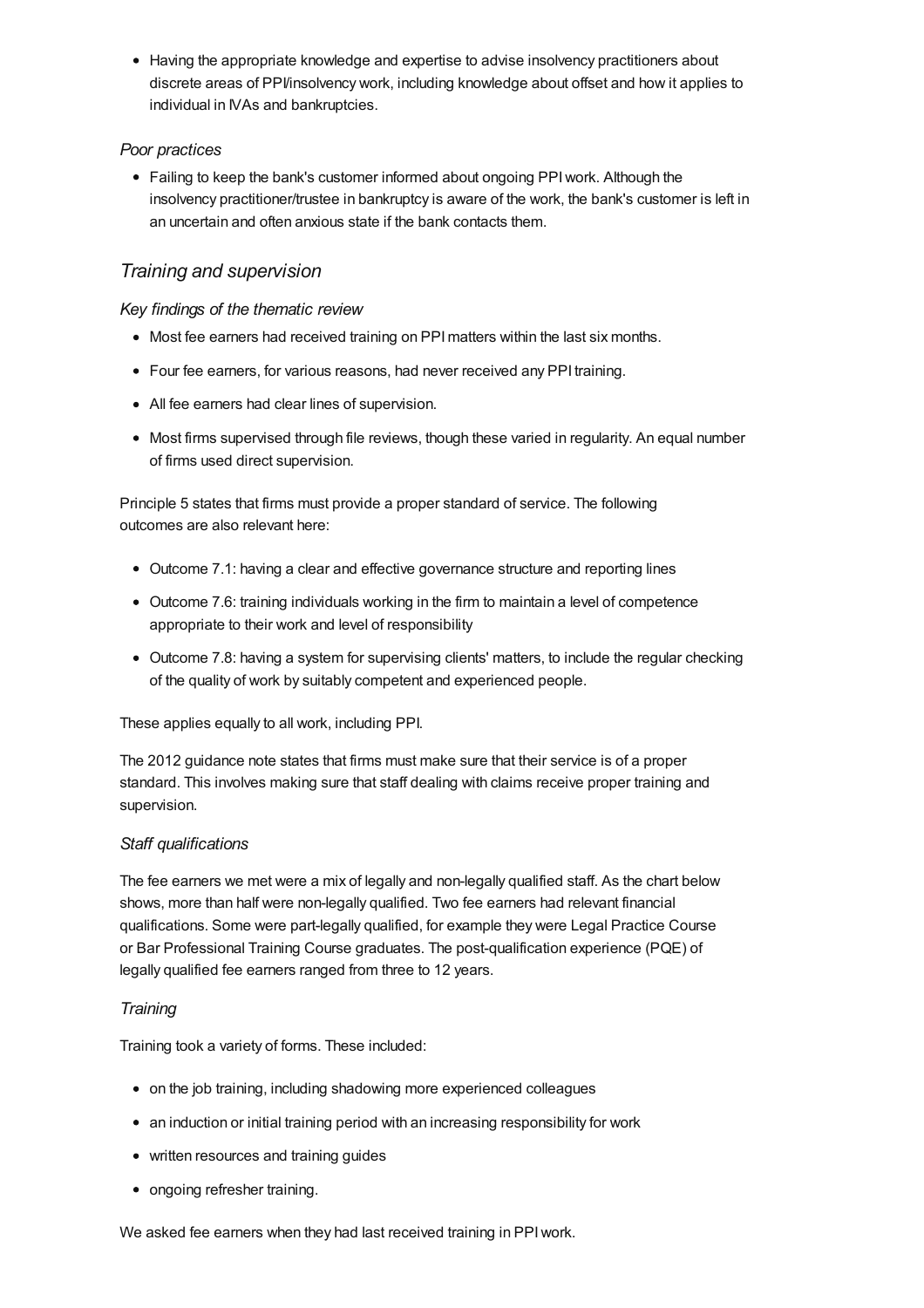• Having the appropriate knowledge and expertise to advise insolvency practitioners about discrete areas of PPI/insolvency work, including knowledge about offset and how it applies to individual in IVAs and bankruptcies.

### *Poor practices*

• Failing to keep the bank's customer informed about ongoing PPI work. Although the insolvency practitioner/trustee in bankruptcy is aware of the work, the bank's customer is left in an uncertain and often anxious state if the bank contacts them.

# *Training and supervision*

### *Key findings of the thematic review*

- Most fee earners had received training on PPI matters within the last six months.
- Four fee earners, for various reasons, had never received any PPI training.
- All fee earners had clear lines of supervision.
- Most firms supervised through file reviews, though these varied in regularity. An equal number of firms used direct supervision.

Principle 5 states that firms must provide a proper standard of service. The following outcomes are also relevant here:

- Outcome 7.1: having a clear and effective governance structure and reporting lines
- Outcome 7.6: training individuals working in the firm to maintain a level of competence appropriate to their work and level of responsibility
- Outcome 7.8: having a system for supervising clients' matters, to include the regular checking of the quality of work by suitably competent and experienced people.

These applies equally to all work, including PPI.

The 2012 guidance note states that firms must make sure that their service is of a proper standard. This involves making sure that staff dealing with claims receive proper training and supervision.

### *Staff qualifications*

The fee earners we met were a mix of legally and non-legally qualified staff. As the chart below shows, more than half were non-legally qualified. Two fee earners had relevant financial qualifications. Some were part-legally qualified, for example they were Legal Practice Course or Bar Professional Training Course graduates. The post-qualification experience (PQE) of legally qualified fee earners ranged from three to 12 years.

### *Training*

Training took a variety of forms. These included:

- on the job training, including shadowing more experienced colleagues
- an induction or initial training period with an increasing responsibility for work
- written resources and training guides
- ongoing refresher training.

We asked fee earners when they had last received training in PPIwork.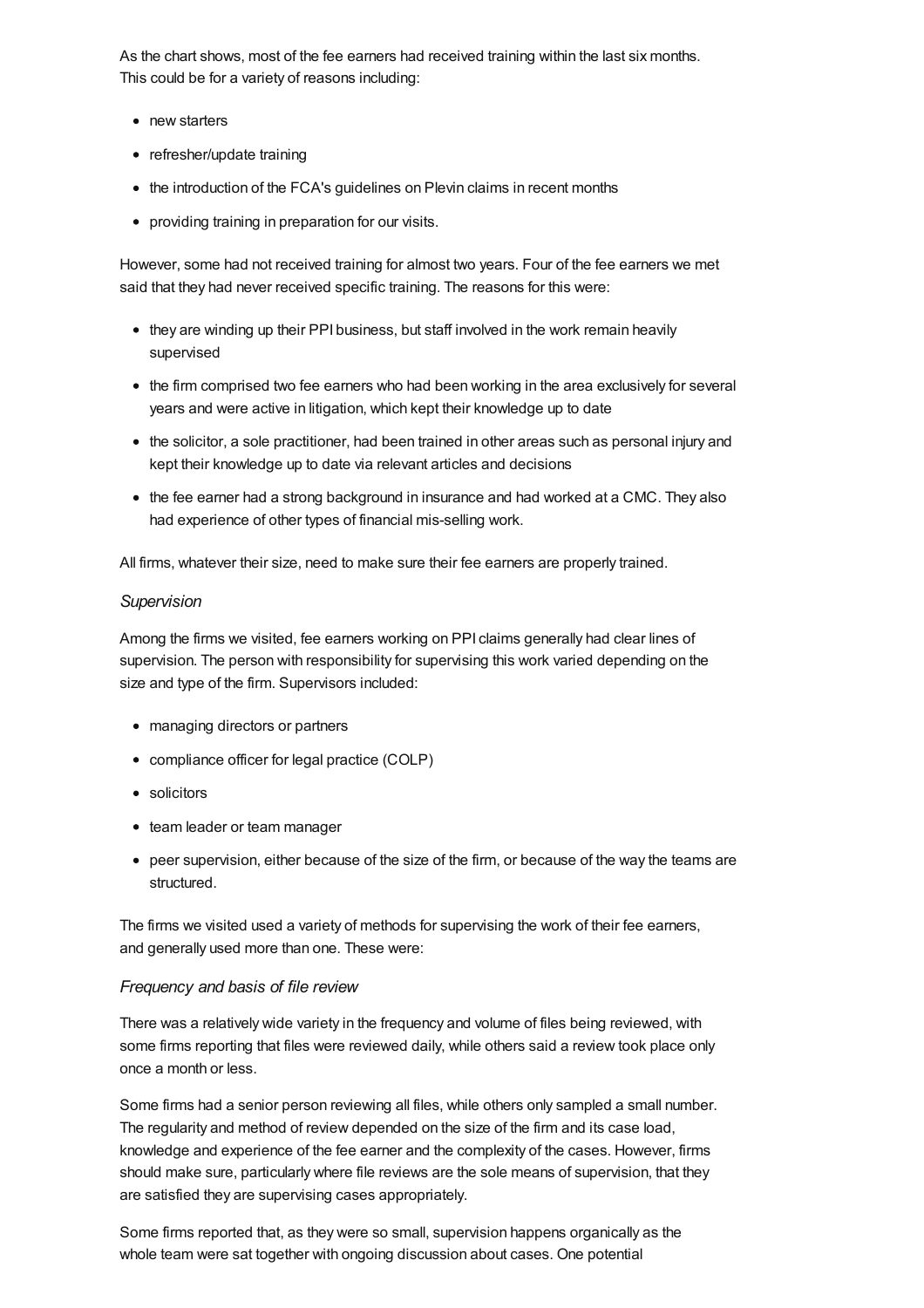As the chart shows, most of the fee earners had received training within the last six months. This could be for a variety of reasons including:

- new starters
- refresher/update training
- the introduction of the FCA's guidelines on Plevin claims in recent months
- providing training in preparation for our visits.

However, some had not received training for almost two years. Four of the fee earners we met said that they had never received specific training. The reasons for this were:

- they are winding up their PPI business, but staff involved in the work remain heavily supervised
- the firm comprised two fee earners who had been working in the area exclusively for several years and were active in litigation, which kept their knowledge up to date
- the solicitor, a sole practitioner, had been trained in other areas such as personal injury and kept their knowledge up to date via relevant articles and decisions
- the fee earner had a strong background in insurance and had worked at a CMC. They also had experience of other types of financial mis-selling work.

All firms, whatever their size, need to make sure their fee earners are properly trained.

### *Supervision*

Among the firms we visited, fee earners working on PPI claims generally had clear lines of supervision. The person with responsibility for supervising this work varied depending on the size and type of the firm. Supervisors included:

- managing directors or partners
- compliance officer for legal practice (COLP)
- solicitors
- team leader or team manager
- peer supervision, either because of the size of the firm, or because of the way the teams are structured.

The firms we visited used a variety of methods for supervising the work of their fee earners, and generally used more than one. These were:

### *Frequency and basis of file review*

There was a relatively wide variety in the frequency and volume of files being reviewed, with some firms reporting that files were reviewed daily, while others said a review took place only once a month or less.

Some firms had a senior person reviewing all files, while others only sampled a small number. The regularity and method of review depended on the size of the firm and its case load, knowledge and experience of the fee earner and the complexity of the cases. However, firms should make sure, particularly where file reviews are the sole means of supervision, that they are satisfied they are supervising cases appropriately.

Some firms reported that, as they were so small, supervision happens organically as the whole team were sat together with ongoing discussion about cases. One potential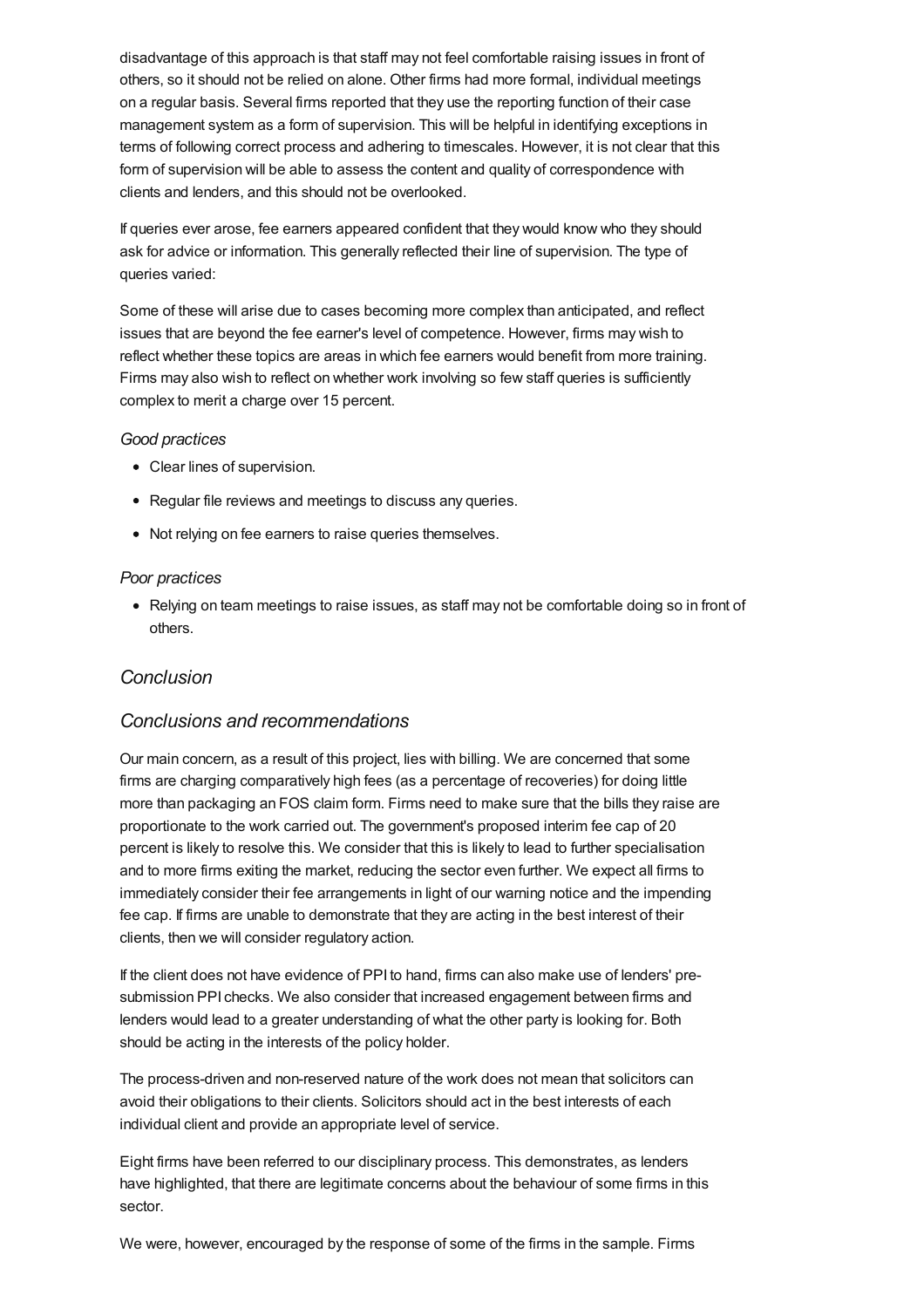disadvantage of this approach is that staff may not feel comfortable raising issues in front of others, so it should not be relied on alone. Other firms had more formal, individual meetings on a regular basis. Several firms reported that they use the reporting function of their case management system as a form of supervision. This will be helpful in identifying exceptions in terms of following correct process and adhering to timescales. However, it is not clear that this form of supervision will be able to assess the content and quality of correspondence with clients and lenders, and this should not be overlooked.

If queries ever arose, fee earners appeared confident that they would know who they should ask for advice or information. This generally reflected their line of supervision. The type of queries varied:

Some of these will arise due to cases becoming more complex than anticipated, and reflect issues that are beyond the fee earner's level of competence. However, firms may wish to reflect whether these topics are areas in which fee earners would benefit from more training. Firms may also wish to reflect on whether work involving so few staff queries is sufficiently complex to merit a charge over 15 percent.

#### *Good practices*

- Clear lines of supervision.
- Regular file reviews and meetings to discuss any queries.
- Not relying on fee earners to raise queries themselves.

#### *Poor practices*

• Relying on team meetings to raise issues, as staff may not be comfortable doing so in front of others.

### *[Conclusion](#page-26-0)*

### <span id="page-26-0"></span>*Conclusions and recommendations*

Our main concern, as a result of this project, lies with billing. We are concerned that some firms are charging comparatively high fees (as a percentage of recoveries) for doing little more than packaging an FOS claim form. Firms need to make sure that the bills they raise are proportionate to the work carried out. The government's proposed interim fee cap of 20 percent is likely to resolve this. We consider that this is likely to lead to further specialisation and to more firms exiting the market, reducing the sector even further. We expect all firms to immediately consider their fee arrangements in light of our warning notice and the impending fee cap. If firms are unable to demonstrate that they are acting in the best interest of their clients, then we will consider regulatory action.

If the client does not have evidence of PPI to hand, firms can also make use of lenders' presubmission PPI checks. We also consider that increased engagement between firms and lenders would lead to a greater understanding of what the other party is looking for. Both should be acting in the interests of the policy holder.

The process-driven and non-reserved nature of the work does not mean that solicitors can avoid their obligations to their clients. Solicitors should act in the best interests of each individual client and provide an appropriate level of service.

Eight firms have been referred to our disciplinary process. This demonstrates, as lenders have highlighted, that there are legitimate concerns about the behaviour of some firms in this sector.

We were, however, encouraged by the response of some of the firms in the sample. Firms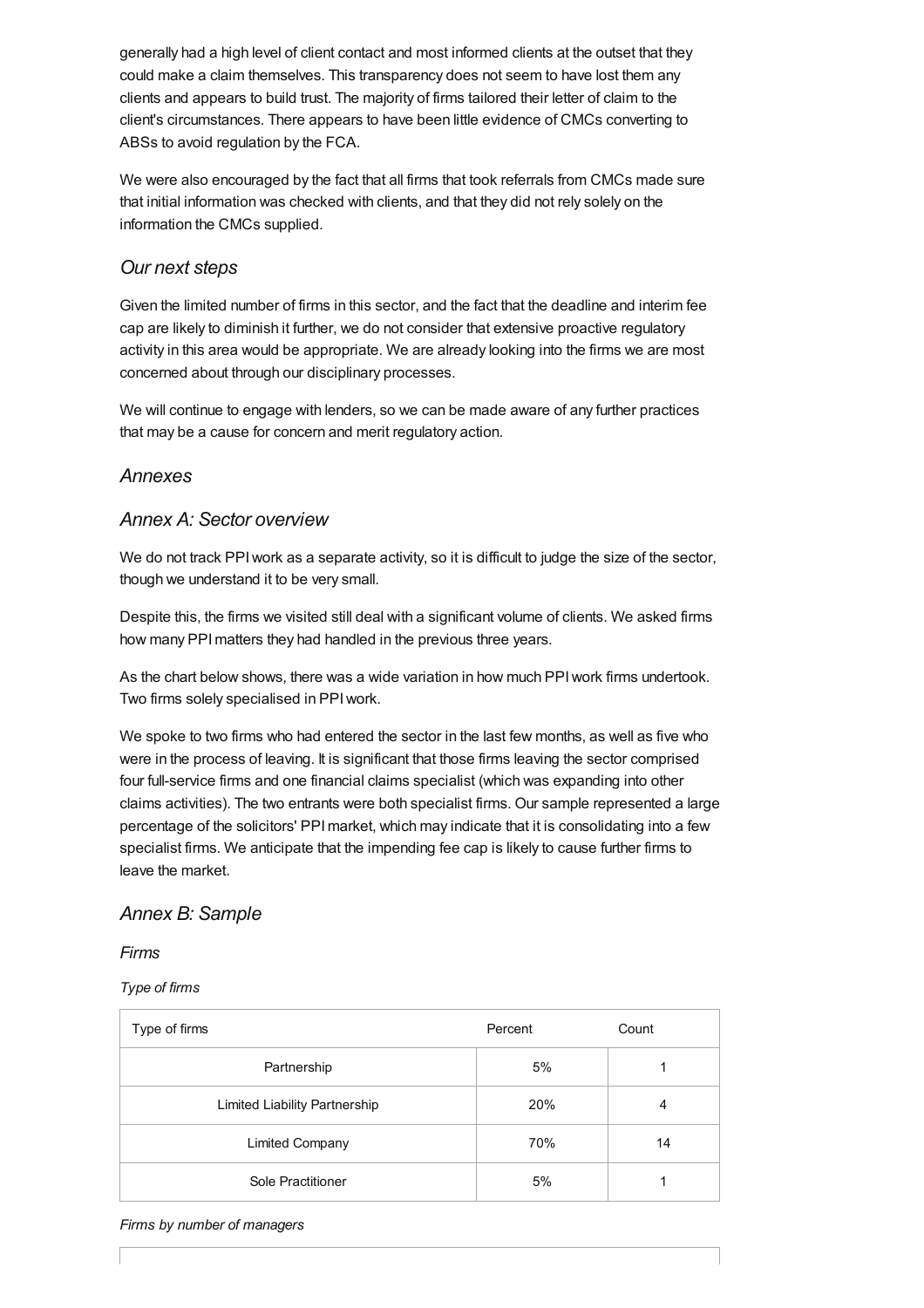generally had a high level of client contact and most informed clients at the outset that they could make a claim themselves. This transparency does not seem to have lost them any clients and appears to build trust. The majority of firms tailored their letter of claim to the client's circumstances. There appears to have been little evidence of CMCs converting to ABSs to avoid regulation by the FCA.

We were also encouraged by the fact that all firms that took referrals from CMCs made sure that initial information was checked with clients, and that they did not rely solely on the information the CMCs supplied.

### *Our next steps*

Given the limited number of firms in this sector, and the fact that the deadline and interim fee cap are likely to diminish it further, we do not consider that extensive proactive regulatory activity in this area would be appropriate. We are already looking into the firms we are most concerned about through our disciplinary processes.

We will continue to engage with lenders, so we can be made aware of any further practices that may be a cause for concern and merit regulatory action.

### *[Annexes](#page-30-0)*

### *Annex A: Sector overview*

We do not track PPI work as a separate activity, so it is difficult to judge the size of the sector, though we understand it to be very small.

Despite this, the firms we visited still deal with a significant volume of clients. We asked firms how many PPImatters they had handled in the previous three years.

As the chart below shows, there was a wide variation in how much PPIwork firms undertook. Two firms solely specialised in PPIwork.

We spoke to two firms who had entered the sector in the last few months, as well as five who were in the process of leaving. It is significant that those firms leaving the sector comprised four full-service firms and one financial claims specialist (which was expanding into other claims activities). The two entrants were both specialist firms. Our sample represented a large percentage of the solicitors' PPImarket, which may indicate that it is consolidating into a few specialist firms. We anticipate that the impending fee cap is likely to cause further firms to leave the market.

### *Annex B: Sample*

### *Firms*

*Type of firms*

| Type of firms                 | Percent | Count |
|-------------------------------|---------|-------|
| Partnership                   | 5%      |       |
| Limited Liability Partnership | 20%     | 4     |
| <b>Limited Company</b>        | 70%     | 14    |
| Sole Practitioner             | 5%      |       |

#### *Firms by number of managers*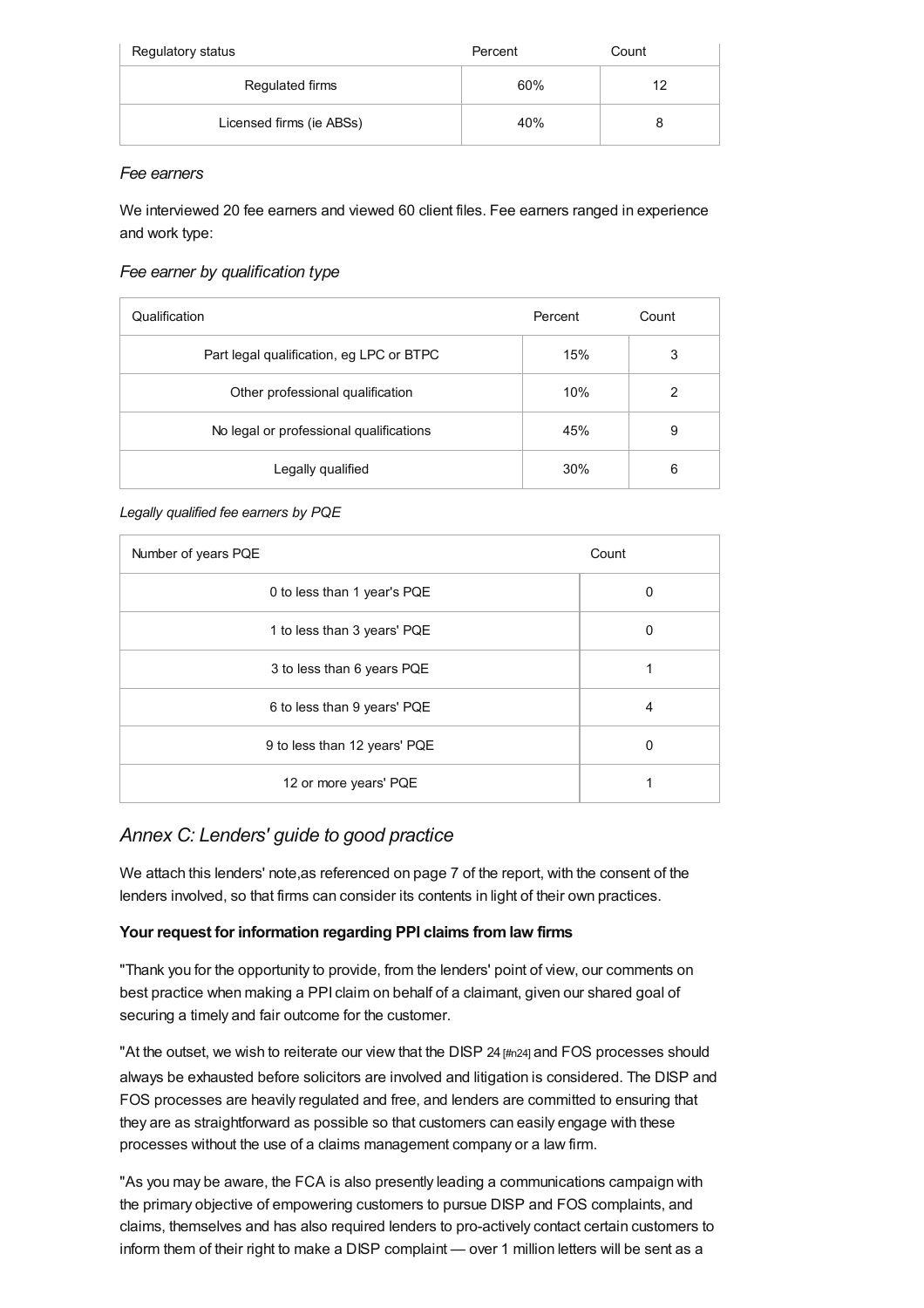| Regulatory status        | Percent | Count |
|--------------------------|---------|-------|
| Regulated firms          | 60%     | 12    |
| Licensed firms (ie ABSs) | 40%     |       |

### *Fee earners*

We interviewed 20 fee earners and viewed 60 client files. Fee earners ranged in experience and work type:

### *Fee earner by qualification type*

| Qualification                            | Percent | Count |
|------------------------------------------|---------|-------|
| Part legal qualification, eg LPC or BTPC | 15%     | 3     |
| Other professional qualification         | 10%     | 2     |
| No legal or professional qualifications  | 45%     | 9     |
| Legally qualified                        | 30%     | 6     |

### *Legally qualified fee earners by PQE*

| Number of years PQE          | Count |
|------------------------------|-------|
| 0 to less than 1 year's PQE  | 0     |
| 1 to less than 3 years' PQE  | 0     |
| 3 to less than 6 years PQE   |       |
| 6 to less than 9 years' PQE  | 4     |
| 9 to less than 12 years' PQE | 0     |
| 12 or more years' PQE        |       |

# *Annex C: Lenders' guide to good practice*

We attach this lenders' note,as referenced on page 7 of the report, with the consent of the lenders involved, so that firms can consider its contents in light of their own practices.

### **Your request for information regarding PPI claims fromlaw firms**

"Thank you for the opportunity to provide, from the lenders' point of view, our comments on best practice when making a PPI claim on behalf of a claimant, given our shared goal of securing a timely and fair outcome for the customer.

"At the outset, we wish to reiterate our view that the DISP  $24$   $\mu$ m $24$  and FOS processes should always be exhausted before solicitors are involved and litigation is considered. The DISP and FOS processes are heavily regulated and free, and lenders are committed to ensuring that they are as straightforward as possible so that customers can easily engage with these processes without the use of a claims management company or a law firm.

"As you may be aware, the FCA is also presently leading a communications campaign with the primary objective of empowering customers to pursue DISP and FOS complaints, and claims, themselves and has also required lenders to pro-actively contact certain customers to inform them of their right to make a DISP complaint — over 1 million letters will be sent as a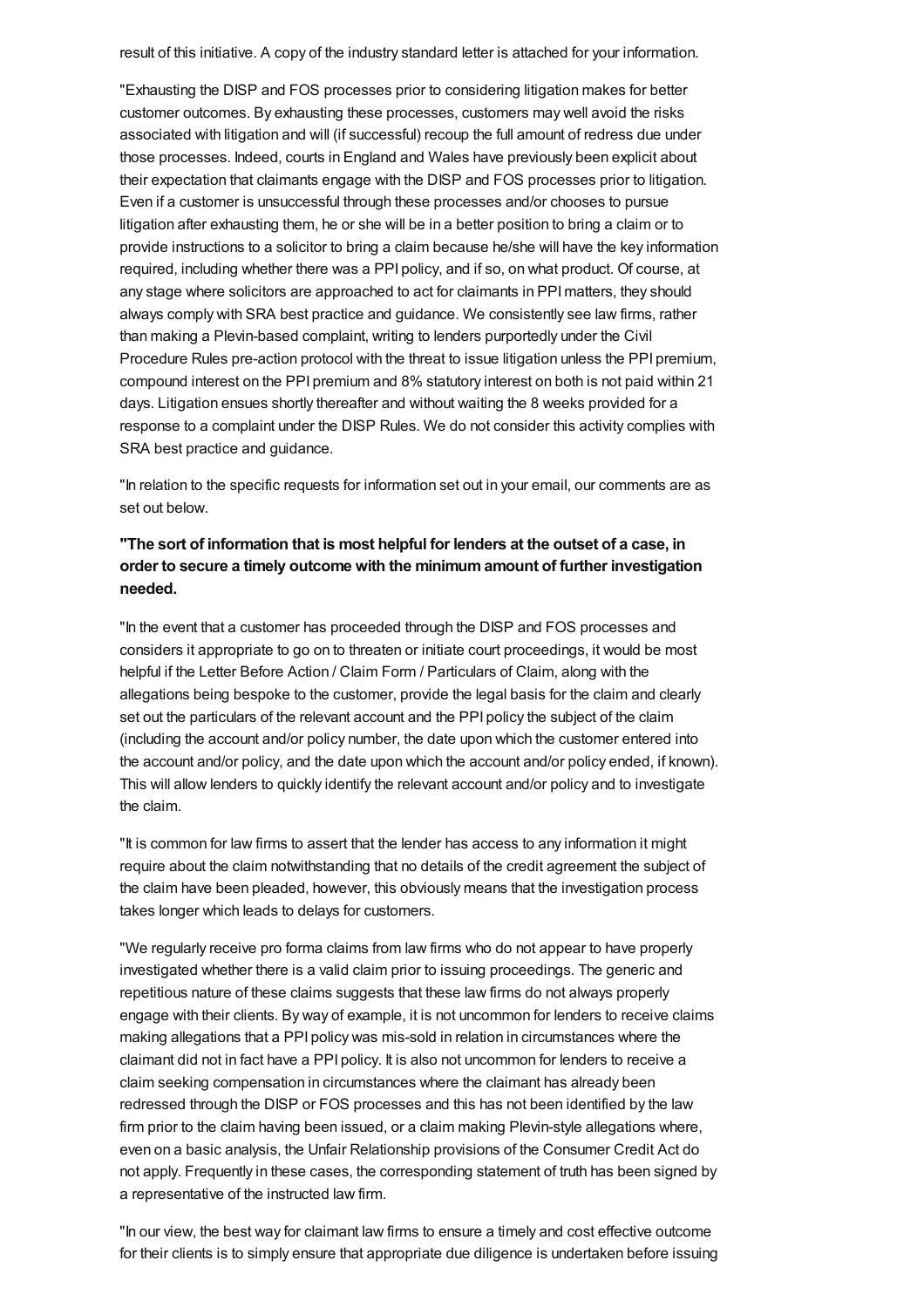result of this initiative. A copy of the industry standard letter is attached for your information.

"Exhausting the DISP and FOS processes prior to considering litigation makes for better customer outcomes. By exhausting these processes, customers may well avoid the risks associated with litigation and will (if successful) recoup the full amount of redress due under those processes. Indeed, courts in England and Wales have previously been explicit about their expectation that claimants engage with the DISP and FOS processes prior to litigation. Even if a customer is unsuccessful through these processes and/or chooses to pursue litigation after exhausting them, he or she will be in a better position to bring a claim or to provide instructions to a solicitor to bring a claim because he/she will have the key information required, including whether there was a PPI policy, and if so, on what product. Of course, at any stage where solicitors are approached to act for claimants in PPImatters, they should always comply with SRA best practice and guidance. We consistently see law firms, rather than making a Plevin-based complaint, writing to lenders purportedly under the Civil Procedure Rules pre-action protocol with the threat to issue litigation unless the PPI premium, compound interest on the PPI premium and 8% statutory interest on both is not paid within 21 days. Litigation ensues shortly thereafter and without waiting the 8 weeks provided for a response to a complaint under the DISP Rules. We do not consider this activity complies with SRA best practice and guidance.

"In relation to the specific requests for information set out in your email, our comments are as set out below.

### **"The sort of information that is most helpful for lenders at the outset of a case, in order to secure a timely outcome with the minimumamount of further investigation needed.**

"In the event that a customer has proceeded through the DISP and FOS processes and considers it appropriate to go on to threaten or initiate court proceedings, it would be most helpful if the Letter Before Action / Claim Form / Particulars of Claim, along with the allegations being bespoke to the customer, provide the legal basis for the claim and clearly set out the particulars of the relevant account and the PPI policy the subject of the claim (including the account and/or policy number, the date upon which the customer entered into the account and/or policy, and the date upon which the account and/or policy ended, if known). This will allow lenders to quickly identify the relevant account and/or policy and to investigate the claim.

"It is common for law firms to assert that the lender has access to any information it might require about the claim notwithstanding that no details of the credit agreement the subject of the claim have been pleaded, however, this obviously means that the investigation process takes longer which leads to delays for customers.

"We regularly receive pro forma claims from law firms who do not appear to have properly investigated whether there is a valid claim prior to issuing proceedings. The generic and repetitious nature of these claims suggests that these law firms do not always properly engage with their clients. By way of example, it is not uncommon for lenders to receive claims making allegations that a PPI policy was mis-sold in relation in circumstances where the claimant did not in fact have a PPI policy. It is also not uncommon for lenders to receive a claim seeking compensation in circumstances where the claimant has already been redressed through the DISP or FOS processes and this has not been identified by the law firm prior to the claim having been issued, or a claim making Plevin-style allegations where, even on a basic analysis, the Unfair Relationship provisions of the Consumer Credit Act do not apply. Frequently in these cases, the corresponding statement of truth has been signed by a representative of the instructed law firm.

"In our view, the best way for claimant law firms to ensure a timely and cost effective outcome for their clients is to simply ensure that appropriate due diligence is undertaken before issuing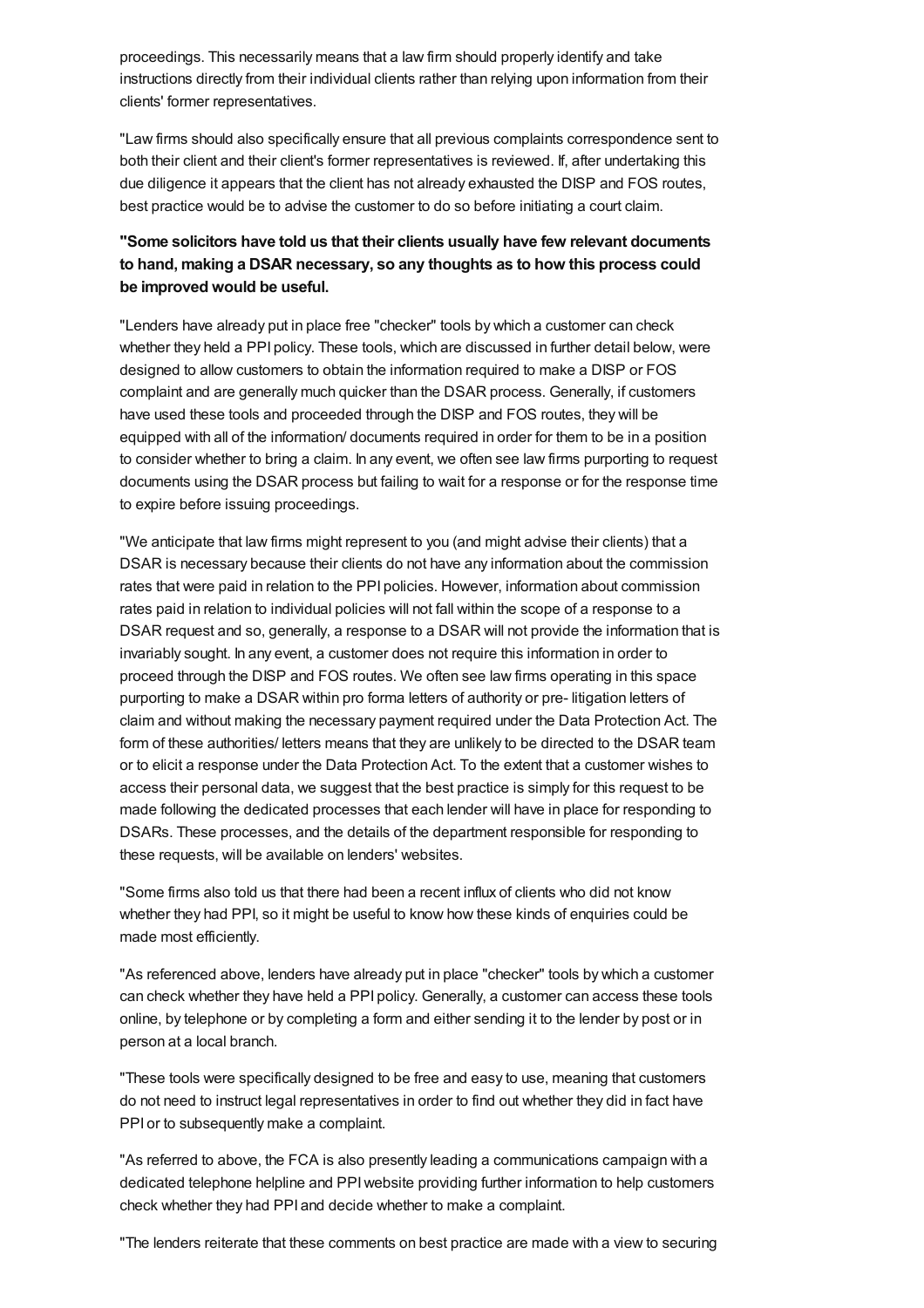<span id="page-30-0"></span>proceedings. This necessarily means that a law firm should properly identify and take instructions directly from their individual clients rather than relying upon information from their clients' former representatives.

"Law firms should also specifically ensure that all previous complaints correspondence sent to both their client and their client's former representatives is reviewed. If, after undertaking this due diligence it appears that the client has not already exhausted the DISP and FOS routes, best practice would be to advise the customer to do so before initiating a court claim.

### **"Some solicitors have told us that their clients usually have few relevant documents to hand, making a DSAR necessary, so any thoughts as to how this process could be improved would be useful.**

"Lenders have already put in place free "checker" tools by which a customer can check whether they held a PPI policy. These tools, which are discussed in further detail below, were designed to allow customers to obtain the information required to make a DISP or FOS complaint and are generally much quicker than the DSAR process. Generally, if customers have used these tools and proceeded through the DISP and FOS routes, they will be equipped with all of the information/ documents required in order for them to be in a position to consider whether to bring a claim. In any event, we often see law firms purporting to request documents using the DSAR process but failing to wait for a response or for the response time to expire before issuing proceedings.

"We anticipate that law firms might represent to you (and might advise their clients) that a DSAR is necessary because their clients do not have any information about the commission rates that were paid in relation to the PPI policies. However, information about commission rates paid in relation to individual policies will not fall within the scope of a response to a DSAR request and so, generally, a response to a DSAR will not provide the information that is invariably sought. In any event, a customer does not require this information in order to proceed through the DISP and FOS routes. We often see law firms operating in this space purporting to make a DSAR within pro forma letters of authority or pre- litigation letters of claim and without making the necessary payment required under the Data Protection Act. The form of these authorities/ letters means that they are unlikely to be directed to the DSAR team or to elicit a response under the Data Protection Act. To the extent that a customer wishes to access their personal data, we suggest that the best practice is simply for this request to be made following the dedicated processes that each lender will have in place for responding to DSARs. These processes, and the details of the department responsible for responding to these requests, will be available on lenders' websites.

"Some firms also told us that there had been a recent influx of clients who did not know whether they had PPI, so it might be useful to know how these kinds of enquiries could be made most efficiently.

"As referenced above, lenders have already put in place "checker" tools by which a customer can check whether they have held a PPI policy. Generally, a customer can access these tools online, by telephone or by completing a form and either sending it to the lender by post or in person at a local branch.

"These tools were specifically designed to be free and easy to use, meaning that customers do not need to instruct legal representatives in order to find out whether they did in fact have PPI or to subsequently make a complaint.

"As referred to above, the FCA is also presently leading a communications campaign with a dedicated telephone helpline and PPIwebsite providing further information to help customers check whether they had PPI and decide whether to make a complaint.

"The lenders reiterate that these comments on best practice are made with a view to securing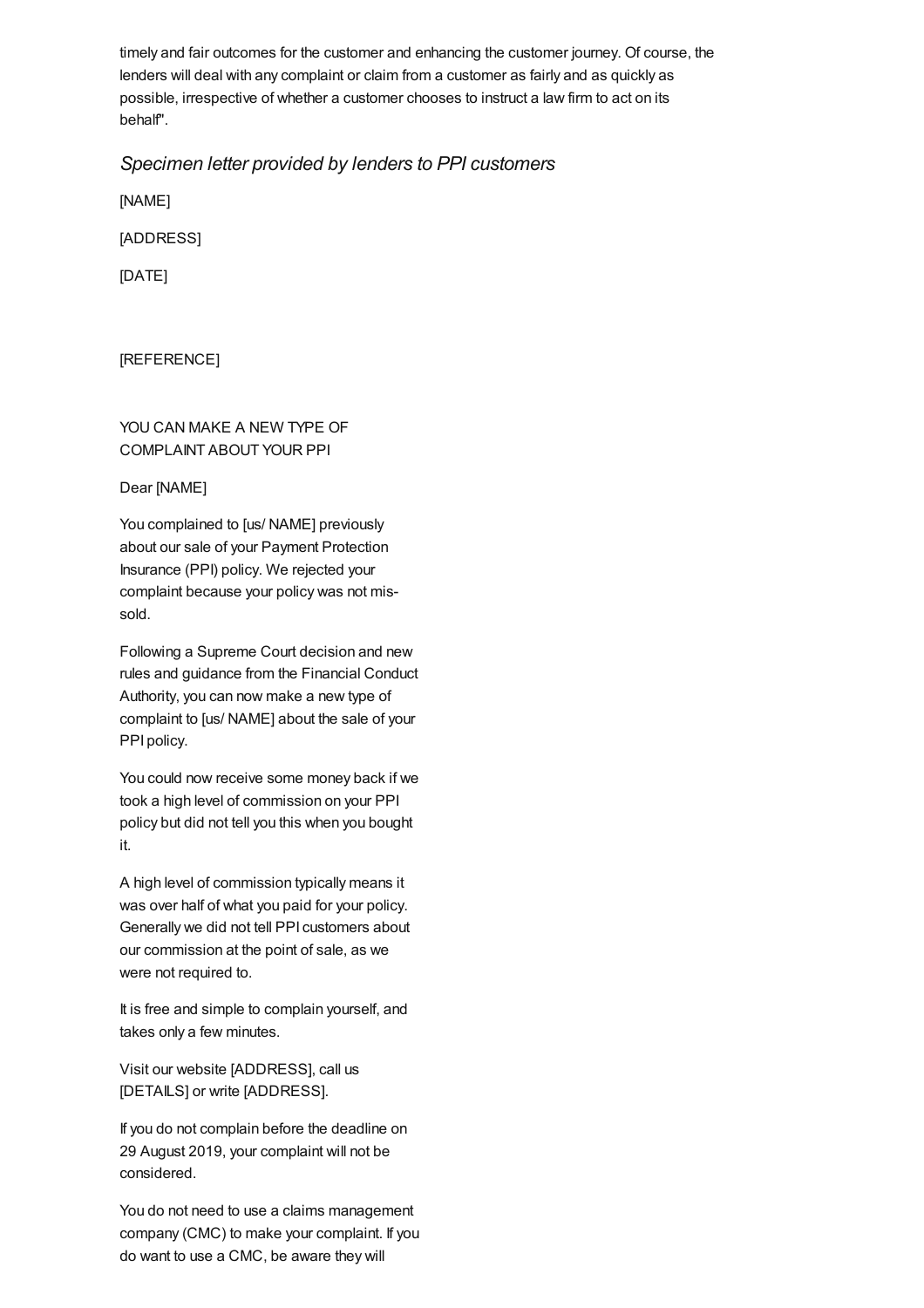timely and fair outcomes for the customer and enhancing the customer journey. Of course, the lenders will deal with any complaint or claim from a customer as fairly and as quickly as possible, irrespective of whether a customer chooses to instruct a law firm to act on its behalf".

### *Specimen letter provided by lenders to PPI customers*

[NAME]

[ADDRESS]

[DATE]

[REFERENCE]

### YOU CAN MAKE A NEW TYPE OF COMPLAINT ABOUT YOUR PPI

#### Dear [NAME]

You complained to [us/ NAME] previously about our sale of your Payment Protection Insurance (PPI) policy. We rejected your complaint because your policy was not missold.

Following a Supreme Court decision and new rules and guidance from the Financial Conduct Authority, you can now make a new type of complaint to [us/ NAME] about the sale of your PPI policy.

You could now receive some money back if we took a high level of commission on your PPI policy but did not tell you this when you bought it.

A high level of commission typically means it was over half of what you paid for your policy. Generally we did not tell PPI customers about our commission at the point of sale, as we were not required to.

It is free and simple to complain yourself, and takes only a few minutes.

Visit our website [ADDRESS], call us [DETAILS] or write [ADDRESS].

If you do not complain before the deadline on 29 August 2019, your complaint will not be considered.

You do not need to use a claims management company (CMC) to make your complaint. If you do want to use a CMC, be aware they will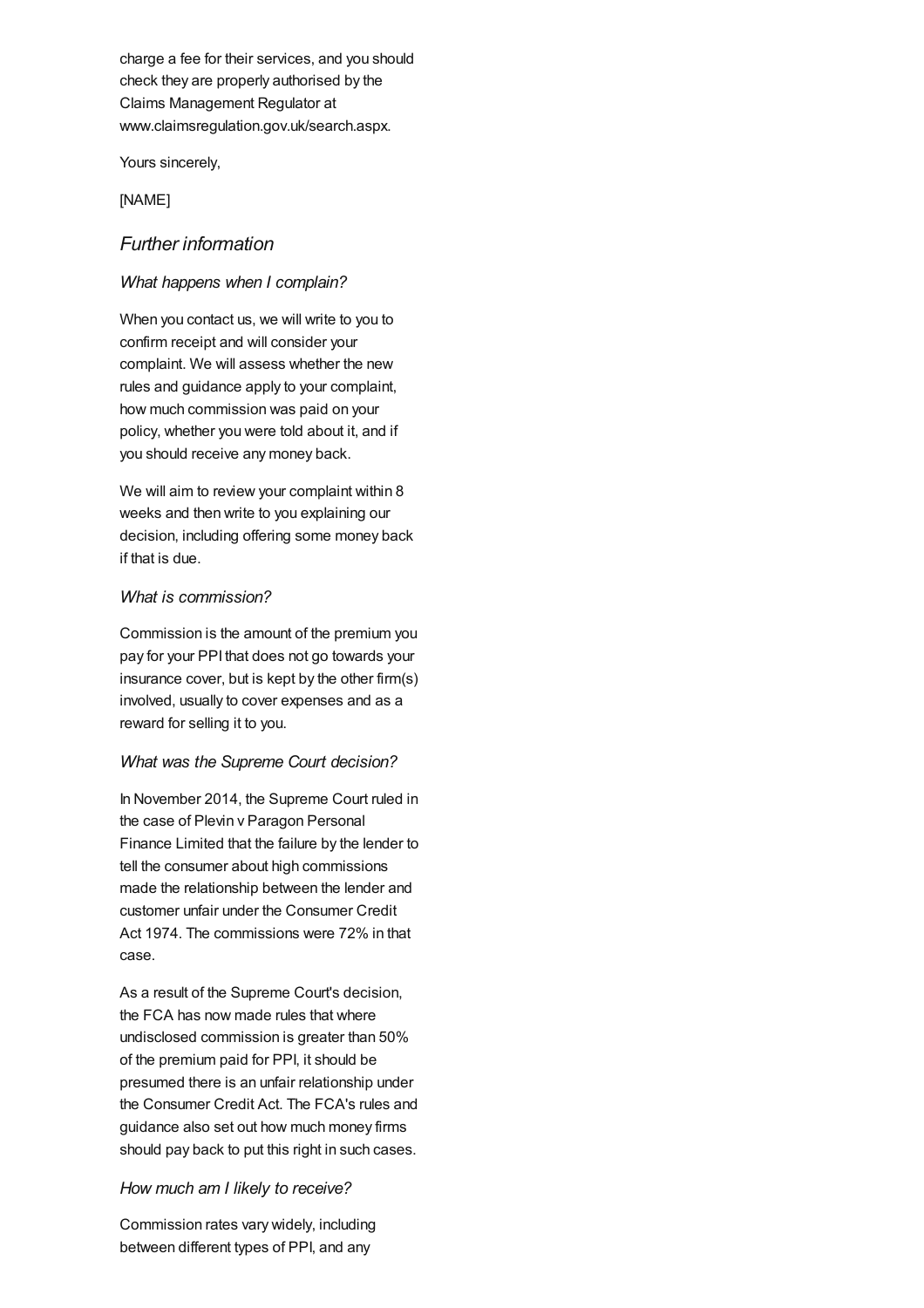charge a fee for their services, and you should check they are properly authorised by the Claims Management Regulator at www.claimsregulation.gov.uk/search.aspx.

Yours sincerely,

[NAME]

### *Further information*

#### *What happens when I complain?*

When you contact us, we will write to you to confirm receipt and will consider your complaint. We will assess whether the new rules and guidance apply to your complaint, how much commission was paid on your policy, whether you were told about it, and if you should receive any money back.

We will aim to review your complaint within 8 weeks and then write to you explaining our decision, including offering some money back if that is due.

#### *What is commission?*

Commission is the amount of the premium you pay for your PPI that does not go towards your insurance cover, but is kept by the other firm(s) involved, usually to cover expenses and as a reward for selling it to you.

#### *What was the Supreme Court decision?*

In November 2014, the Supreme Court ruled in the case of Plevin v Paragon Personal Finance Limited that the failure by the lender to tell the consumer about high commissions made the relationship between the lender and customer unfair under the Consumer Credit Act 1974. The commissions were 72% in that case.

As a result of the Supreme Court's decision, the FCA has now made rules that where undisclosed commission is greater than 50% of the premium paid for PPI, it should be presumed there is an unfair relationship under the Consumer Credit Act. The FCA's rules and guidance also set out how much money firms should pay back to put this right in such cases.

#### *How much am I likely to receive?*

Commission rates vary widely, including between different types of PPI, and any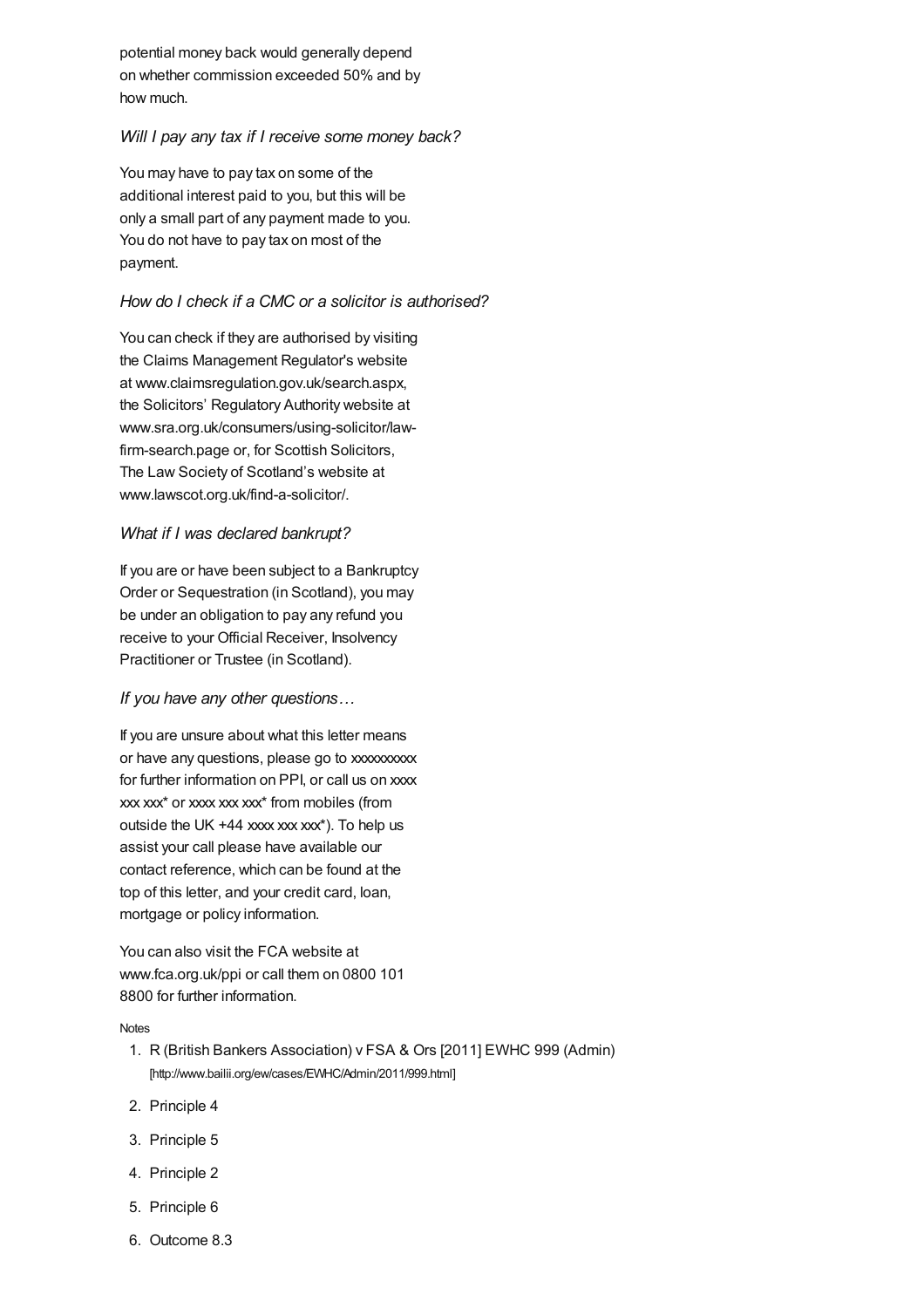potential money back would generally depend on whether commission exceeded 50% and by how much.

#### *Will I pay any tax if I receive some money back?*

You may have to pay tax on some of the additional interest paid to you, but this will be only a small part of any payment made to you. You do not have to pay tax on most of the payment.

### *How do I check if a CMC or a solicitor is authorised?*

You can check if they are authorised by visiting the Claims Management Regulator's website at www.claimsregulation.gov.uk/search.aspx, the Solicitors' Regulatory Authority website at www.sra.org.uk/consumers/using-solicitor/lawfirm-search.page or, for Scottish Solicitors, The Law Society of Scotland's website at www.lawscot.org.uk/find-a-solicitor/.

#### *What if I was declared bankrupt?*

If you are or have been subject to a Bankruptcy Order or Sequestration (in Scotland), you may be under an obligation to pay any refund you receive to your Official Receiver, Insolvency Practitioner or Trustee (in Scotland).

### *If you have any other questions…*

If you are unsure about what this letter means or have any questions, please go to xxxxxxxxx for further information on PPI, or call us on xxxx xxx xxx\* or xxxx xxx xxx\* from mobiles (from outside the UK  $+44$  xxxx xxx xxx<sup>\*</sup>). To help us assist your call please have available our contact reference, which can be found at the top of this letter, and your credit card, loan, mortgage or policy information.

You can also visit the FCA website at www.fca.org.uk/ppi or call them on 0800 101 8800 for further information.

#### [Notes](#page-34-18)

- 1. R (British Bankers Association) v FSA & Ors [2011] EWHC 999 (Admin) [\[http://www.bailii.org/ew/cases/EWHC/Admin/2011/999.html\]](http://www.bailii.org/ew/cases/EWHC/Admin/2011/999.html)
- <span id="page-33-0"></span>2. Principle 4
- <span id="page-33-1"></span>3. Principle 5
- <span id="page-33-2"></span>4. Principle 2
- <span id="page-33-3"></span>5. Principle 6
- <span id="page-33-4"></span>6. Outcome 8.3